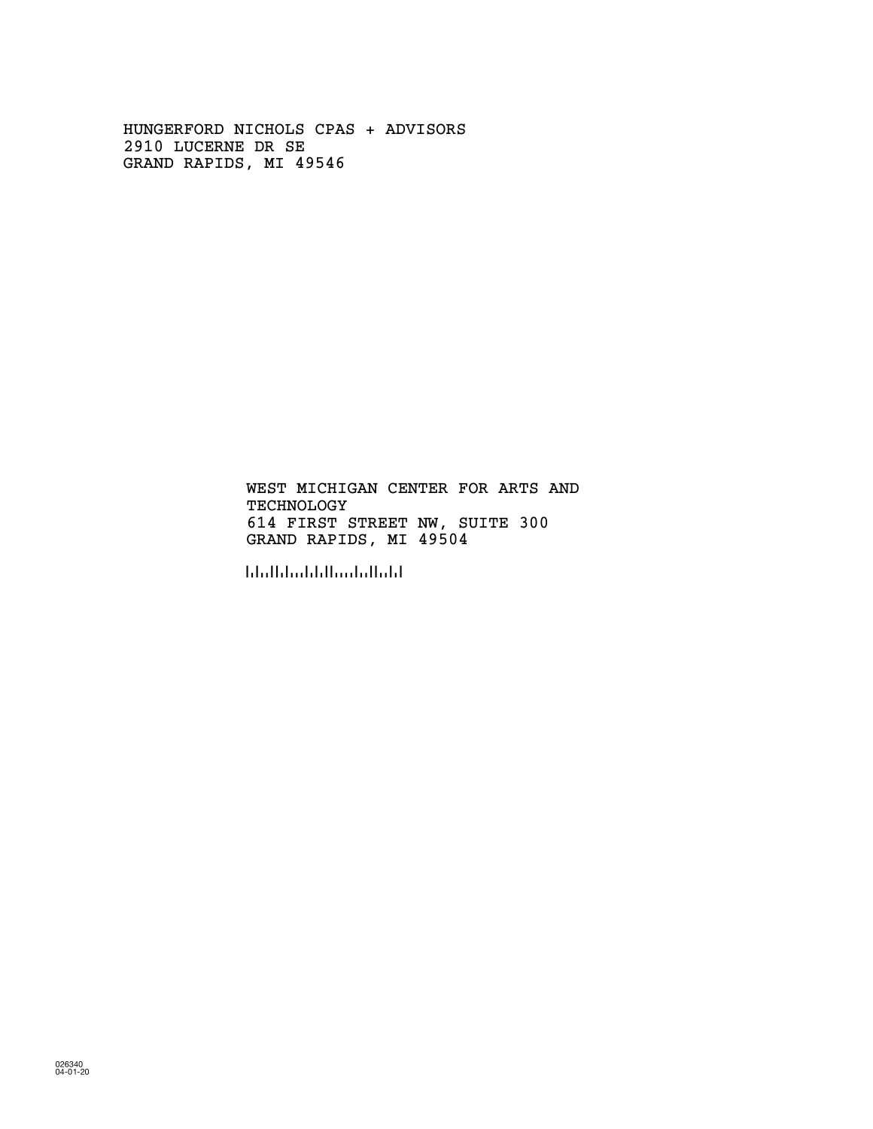HUNGERFORD NICHOLS CPAS + ADVISORS 2910 LUCERNE DR SE GRAND RAPIDS, MI 49546

> TECHNOLOGY 614 FIRST STREET NW, SUITE 300 WEST MICHIGAN CENTER FOR ARTS AND GRAND RAPIDS, MI 49504

!495048!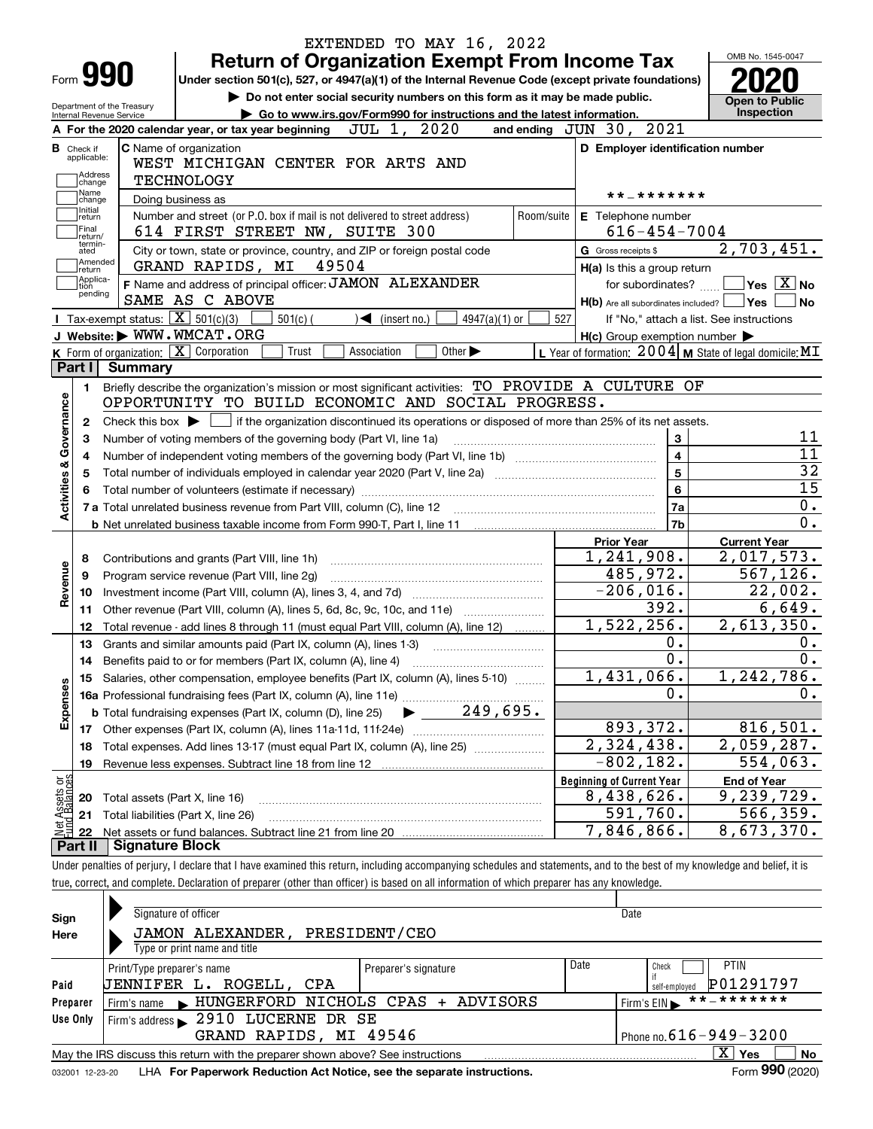| Form <b>990</b>                                                                                 |                                                        | Under section 501(c), 527, or 4947(a)(1) of the Internal Revenue Code (except private foundations)           |                      |                                                                                                 |                 |            | <b>Return of Organization Exempt From Income Tax</b> |                         |                                                                          |
|-------------------------------------------------------------------------------------------------|--------------------------------------------------------|--------------------------------------------------------------------------------------------------------------|----------------------|-------------------------------------------------------------------------------------------------|-----------------|------------|------------------------------------------------------|-------------------------|--------------------------------------------------------------------------|
|                                                                                                 |                                                        |                                                                                                              |                      | Do not enter social security numbers on this form as it may be made public.                     |                 |            |                                                      |                         | <b>Open to Public</b>                                                    |
|                                                                                                 | Department of the Treasury<br>Internal Revenue Service |                                                                                                              |                      | Go to www.irs.gov/Form990 for instructions and the latest information.                          |                 |            |                                                      |                         | Inspection                                                               |
|                                                                                                 |                                                        | A For the 2020 calendar year, or tax year beginning                                                          |                      | 2020<br>JUL 1,                                                                                  |                 |            | and ending $JUN$ $30$ ,                              | 2021                    |                                                                          |
| <b>B</b> Check if<br>applicable:                                                                |                                                        | <b>C</b> Name of organization<br>WEST MICHIGAN CENTER FOR ARTS AND                                           |                      |                                                                                                 |                 |            | D Employer identification number                     |                         |                                                                          |
| Address<br>change                                                                               |                                                        | <b>TECHNOLOGY</b>                                                                                            |                      |                                                                                                 |                 |            |                                                      |                         |                                                                          |
| Name<br>change                                                                                  |                                                        | Doing business as                                                                                            |                      |                                                                                                 |                 |            |                                                      | * * _ * * * * * * *     |                                                                          |
| Initial<br>return<br>Final                                                                      |                                                        | Number and street (or P.O. box if mail is not delivered to street address)<br>614 FIRST STREET NW, SUITE 300 |                      |                                                                                                 |                 | Room/suite | E Telephone number                                   | $616 - 454 - 7004$      |                                                                          |
| return/<br>termin-<br>ated                                                                      |                                                        | City or town, state or province, country, and ZIP or foreign postal code                                     |                      |                                                                                                 |                 |            | G Gross receipts \$                                  |                         | 2,703,451.                                                               |
| Amended<br> return                                                                              |                                                        | GRAND RAPIDS, MI                                                                                             | 49504                |                                                                                                 |                 |            | H(a) Is this a group return                          |                         |                                                                          |
| Applica-<br>tion                                                                                |                                                        | F Name and address of principal officer: JAMON ALEXANDER                                                     |                      |                                                                                                 |                 |            |                                                      | for subordinates?       | $\sqrt{}$ Yes $\sqrt{X}$ No                                              |
| pending                                                                                         |                                                        | SAME AS C ABOVE                                                                                              |                      |                                                                                                 |                 |            |                                                      |                         | $H(b)$ Are all subordinates included? $\Box$ Yes                         |
|                                                                                                 | Tax-exempt status: $\boxed{\mathbf{X}}$ 501(c)(3)      | $501(c)$ (                                                                                                   |                      | $\sqrt{\frac{2}{1}}$ (insert no.)                                                               | $4947(a)(1)$ or | 527        |                                                      |                         | If "No," attach a list. See instructions                                 |
|                                                                                                 |                                                        | J Website: WWW.WMCAT.ORG                                                                                     |                      |                                                                                                 |                 |            | $H(c)$ Group exemption number $\blacktriangleright$  |                         |                                                                          |
|                                                                                                 |                                                        | K Form of organization: X Corporation                                                                        | Trust<br>Association | Other $\blacktriangleright$                                                                     |                 |            |                                                      |                         | L Year of formation: $2004 \vert$ M State of legal domicile: MT          |
| Part I                                                                                          | <b>Summary</b>                                         |                                                                                                              |                      |                                                                                                 |                 |            |                                                      |                         |                                                                          |
| 1.                                                                                              |                                                        | Briefly describe the organization's mission or most significant activities: TO PROVIDE A CULTURE OF          |                      |                                                                                                 |                 |            |                                                      |                         |                                                                          |
|                                                                                                 |                                                        | OPPORTUNITY TO BUILD ECONOMIC AND SOCIAL PROGRESS.                                                           |                      |                                                                                                 |                 |            |                                                      |                         |                                                                          |
| 2                                                                                               | Check this box $\blacktriangleright$                   |                                                                                                              |                      |                                                                                                 |                 |            |                                                      |                         |                                                                          |
|                                                                                                 |                                                        |                                                                                                              |                      | if the organization discontinued its operations or disposed of more than 25% of its net assets. |                 |            |                                                      |                         |                                                                          |
| з                                                                                               |                                                        | Number of voting members of the governing body (Part VI, line 1a)                                            |                      |                                                                                                 |                 |            |                                                      | 3                       |                                                                          |
| 4                                                                                               |                                                        |                                                                                                              |                      |                                                                                                 |                 |            |                                                      | $\overline{\mathbf{4}}$ |                                                                          |
| 5                                                                                               |                                                        |                                                                                                              |                      |                                                                                                 |                 |            |                                                      | $\overline{5}$          |                                                                          |
|                                                                                                 |                                                        |                                                                                                              |                      |                                                                                                 |                 |            |                                                      | $6\phantom{1}$          |                                                                          |
|                                                                                                 |                                                        |                                                                                                              |                      |                                                                                                 |                 |            |                                                      | 7a                      |                                                                          |
|                                                                                                 |                                                        |                                                                                                              |                      |                                                                                                 |                 |            |                                                      | 7b                      |                                                                          |
|                                                                                                 |                                                        |                                                                                                              |                      |                                                                                                 |                 |            | <b>Prior Year</b>                                    |                         |                                                                          |
| 8                                                                                               |                                                        |                                                                                                              |                      |                                                                                                 |                 |            | 1,241,908.                                           |                         | <b>Current Year</b>                                                      |
|                                                                                                 |                                                        | Contributions and grants (Part VIII, line 1h)                                                                |                      |                                                                                                 |                 |            |                                                      |                         |                                                                          |
| 9                                                                                               |                                                        | Program service revenue (Part VIII, line 2g)                                                                 |                      |                                                                                                 |                 |            | 485,972.                                             |                         |                                                                          |
| 10                                                                                              |                                                        |                                                                                                              |                      |                                                                                                 |                 |            | $-206,016.$                                          |                         |                                                                          |
| 11                                                                                              |                                                        | Other revenue (Part VIII, column (A), lines 5, 6d, 8c, 9c, 10c, and 11e)                                     |                      |                                                                                                 |                 |            |                                                      | 392.                    |                                                                          |
| 12                                                                                              |                                                        | Total revenue - add lines 8 through 11 (must equal Part VIII, column (A), line 12)                           |                      |                                                                                                 |                 |            | 1,522,256.                                           |                         |                                                                          |
| 13                                                                                              |                                                        | Grants and similar amounts paid (Part IX, column (A), lines 1-3)                                             |                      |                                                                                                 |                 |            |                                                      | 0.                      | $\overline{2,017,573}$ .<br>567, 126.<br>22,002.<br>6,649.<br>2,613,350. |
|                                                                                                 |                                                        |                                                                                                              |                      |                                                                                                 |                 |            |                                                      | 0.                      |                                                                          |
| 15                                                                                              |                                                        | Salaries, other compensation, employee benefits (Part IX, column (A), lines 5-10)                            |                      |                                                                                                 |                 |            | 1,431,066.                                           |                         | 1, 242, 786.                                                             |
|                                                                                                 |                                                        |                                                                                                              |                      |                                                                                                 |                 |            |                                                      | 0.                      |                                                                          |
|                                                                                                 |                                                        | <b>b</b> Total fundraising expenses (Part IX, column (D), line 25)                                           |                      | $249,695$ .                                                                                     |                 |            |                                                      |                         |                                                                          |
| 17 <sub>1</sub>                                                                                 |                                                        |                                                                                                              |                      |                                                                                                 |                 |            | 893,372.                                             |                         | 816,501.                                                                 |
| 18                                                                                              |                                                        | Total expenses. Add lines 13-17 (must equal Part IX, column (A), line 25)                                    |                      |                                                                                                 |                 |            | $\overline{2,324,438}$ .                             |                         |                                                                          |
| 19                                                                                              |                                                        |                                                                                                              |                      |                                                                                                 |                 |            | $-802, 182.$                                         |                         | 2,059,287.<br>554,063.                                                   |
|                                                                                                 |                                                        |                                                                                                              |                      |                                                                                                 |                 |            | <b>Beginning of Current Year</b>                     |                         | <b>End of Year</b>                                                       |
| 20                                                                                              | Total assets (Part X, line 16)                         |                                                                                                              |                      |                                                                                                 |                 |            | 8,438,626.                                           |                         | 9,239,729.                                                               |
| Governance<br>Activities &<br>Revenue<br>Expenses<br>t Assets or<br>d Balances<br>21<br>혏<br>22 |                                                        | Total liabilities (Part X, line 26)                                                                          |                      |                                                                                                 |                 |            | 591,760.<br>7,846,866.                               |                         | 566, 359.<br>8,673,370.                                                  |

| Sign     | Signature of officer                                                                                                                                                                                                              |                      |      | Date                                               |  |  |  |  |  |  |
|----------|-----------------------------------------------------------------------------------------------------------------------------------------------------------------------------------------------------------------------------------|----------------------|------|----------------------------------------------------|--|--|--|--|--|--|
| Here     | JAMON ALEXANDER, PRESIDENT/CEO<br>Type or print name and title                                                                                                                                                                    |                      |      |                                                    |  |  |  |  |  |  |
| Paid     | Print/Type preparer's name<br>UENNIFER L. ROGELL, CPA                                                                                                                                                                             | Preparer's signature | Date | <b>PTIN</b><br>Check<br>P01291797<br>self-employed |  |  |  |  |  |  |
| Preparer | Firm's name MUNGERFORD NICHOLS CPAS + ADVISORS                                                                                                                                                                                    |                      |      | **_*******<br>Firm's EIN                           |  |  |  |  |  |  |
| Use Only | Firm's address 2910 LUCERNE DR SE<br>Phone no. $616 - 949 - 3200$<br>GRAND RAPIDS, MI 49546                                                                                                                                       |                      |      |                                                    |  |  |  |  |  |  |
|          | May the IRS discuss this return with the preparer shown above? See instructions                                                                                                                                                   |                      |      | $\mathbf{X}$<br>No<br>Yes                          |  |  |  |  |  |  |
|          | $\mathbf{r}$ . The contract of the contract of the contract of the contract of the contract of the contract of the contract of the contract of the contract of the contract of the contract of the contract of the contract of th |                      |      | $\sim$ 000 $\sim$                                  |  |  |  |  |  |  |

032001 12-23-20 LHA **For Paperwork Reduction Act Notice, see the separate instructions.** Form 990 (2020)

**990**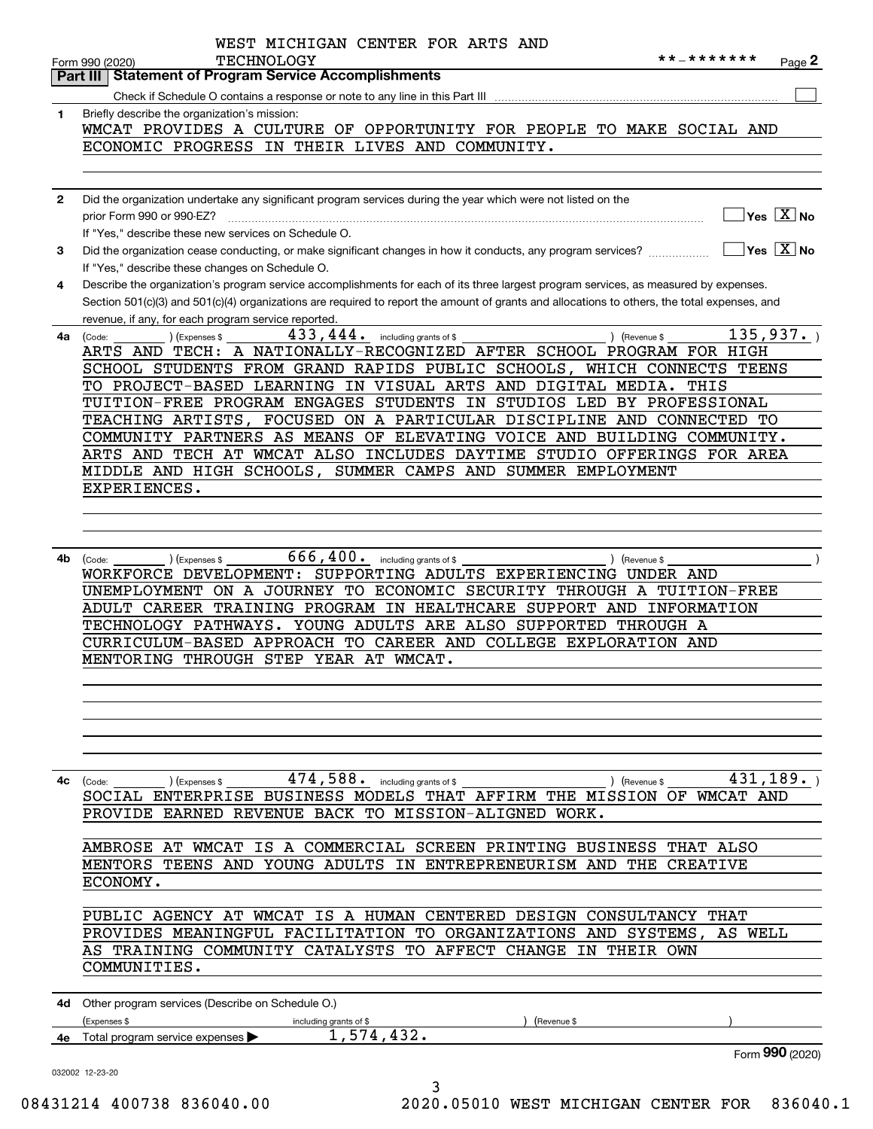|              | WEST MICHIGAN CENTER FOR ARTS AND                                                                                                                               |
|--------------|-----------------------------------------------------------------------------------------------------------------------------------------------------------------|
|              | **_*******<br><b>TECHNOLOGY</b><br>Page $\mathbf{z}$<br>Form 990 (2020)                                                                                         |
|              | <b>Statement of Program Service Accomplishments</b><br>Part III I                                                                                               |
|              |                                                                                                                                                                 |
| 1            | Briefly describe the organization's mission:<br>WMCAT PROVIDES A CULTURE OF OPPORTUNITY FOR PEOPLE TO MAKE SOCIAL AND                                           |
|              | ECONOMIC PROGRESS IN THEIR LIVES AND COMMUNITY.                                                                                                                 |
|              |                                                                                                                                                                 |
|              |                                                                                                                                                                 |
| $\mathbf{2}$ | Did the organization undertake any significant program services during the year which were not listed on the                                                    |
|              | $\sqrt{}$ Yes $\sqrt{}$ X $\sqrt{}$ No<br>prior Form 990 or 990-EZ?                                                                                             |
|              | If "Yes," describe these new services on Schedule O.                                                                                                            |
| 3            | $\overline{\ }$ Yes $\overline{\phantom{X}}$ No<br>Did the organization cease conducting, or make significant changes in how it conducts, any program services? |
|              | If "Yes," describe these changes on Schedule O.                                                                                                                 |
| 4            | Describe the organization's program service accomplishments for each of its three largest program services, as measured by expenses.                            |
|              | Section 501(c)(3) and 501(c)(4) organizations are required to report the amount of grants and allocations to others, the total expenses, and                    |
| 4a           | revenue, if any, for each program service reported.<br>135, 937.<br>$433, 444$ . including grants of \$<br>) (Revenue \$                                        |
|              | (Expenses \$<br>(Code:<br>ARTS AND TECH: A NATIONALLY-RECOGNIZED AFTER SCHOOL PROGRAM FOR HIGH                                                                  |
|              | SCHOOL STUDENTS FROM GRAND RAPIDS PUBLIC SCHOOLS,<br>WHICH CONNECTS TEENS                                                                                       |
|              | TO PROJECT-BASED LEARNING IN VISUAL ARTS AND DIGITAL MEDIA.<br>THIS                                                                                             |
|              | TUITION-FREE PROGRAM ENGAGES STUDENTS IN<br>STUDIOS LED<br>BY PROFESSIONAL                                                                                      |
|              | TEACHING ARTISTS,<br>FOCUSED ON A PARTICULAR DISCIPLINE AND CONNECTED TO                                                                                        |
|              | COMMUNITY PARTNERS AS MEANS OF ELEVATING VOICE AND BUILDING COMMUNITY.                                                                                          |
|              | ARTS AND TECH AT WMCAT ALSO INCLUDES DAYTIME STUDIO OFFERINGS FOR AREA                                                                                          |
|              | MIDDLE AND HIGH SCHOOLS, SUMMER CAMPS AND SUMMER EMPLOYMENT                                                                                                     |
|              | EXPERIENCES.                                                                                                                                                    |
|              |                                                                                                                                                                 |
|              |                                                                                                                                                                 |
|              |                                                                                                                                                                 |
| 4b           | $666, 400$ . including grants of \$<br>(Expenses \$<br>) (Revenue \$<br>(Code:<br>WORKFORCE DEVELOPMENT: SUPPORTING ADULTS EXPERIENCING UNDER AND               |
|              | UNEMPLOYMENT ON A JOURNEY<br>TO ECONOMIC SECURITY THROUGH A TUITION-FREE                                                                                        |
|              | ADULT CAREER TRAINING PROGRAM IN HEALTHCARE SUPPORT AND<br>INFORMATION                                                                                          |
|              | TECHNOLOGY PATHWAYS. YOUNG ADULTS ARE ALSO SUPPORTED<br>THROUGH A                                                                                               |
|              | CURRICULUM-BASED APPROACH TO CAREER AND COLLEGE EXPLORATION AND                                                                                                 |
|              | MENTORING THROUGH STEP YEAR AT WMCAT.                                                                                                                           |
|              |                                                                                                                                                                 |
|              |                                                                                                                                                                 |
|              |                                                                                                                                                                 |
|              |                                                                                                                                                                 |
|              |                                                                                                                                                                 |
|              | 431, 189.<br>$474,588.$ including grants of \$                                                                                                                  |
| 4с           | (Expenses \$<br>) (Revenue \$<br>(Code:<br>SOCIAL ENTERPRISE BUSINESS MODELS THAT AFFIRM THE MISSION OF WMCAT AND                                               |
|              | PROVIDE EARNED REVENUE BACK TO MISSION-ALIGNED WORK.                                                                                                            |
|              |                                                                                                                                                                 |
|              | AMBROSE AT WMCAT IS A COMMERCIAL SCREEN PRINTING BUSINESS THAT ALSO                                                                                             |
|              | MENTORS TEENS AND YOUNG ADULTS IN ENTREPRENEURISM AND THE CREATIVE                                                                                              |
|              | ECONOMY.                                                                                                                                                        |
|              |                                                                                                                                                                 |
|              | PUBLIC AGENCY AT WMCAT IS A HUMAN CENTERED DESIGN CONSULTANCY THAT                                                                                              |
|              | PROVIDES MEANINGFUL FACILITATION TO ORGANIZATIONS AND SYSTEMS,<br>AS WELL                                                                                       |
|              | AS TRAINING COMMUNITY CATALYSTS TO AFFECT CHANGE IN THEIR OWN                                                                                                   |
|              | COMMUNITIES.                                                                                                                                                    |
|              |                                                                                                                                                                 |
|              | 4d Other program services (Describe on Schedule O.)                                                                                                             |
|              | (Expenses \$<br>including grants of \$<br>(Revenue \$<br>1,574,432.                                                                                             |
|              | 4e Total program service expenses<br>Form 990 (2020)                                                                                                            |
|              | 032002 12-23-20                                                                                                                                                 |
|              | 3                                                                                                                                                               |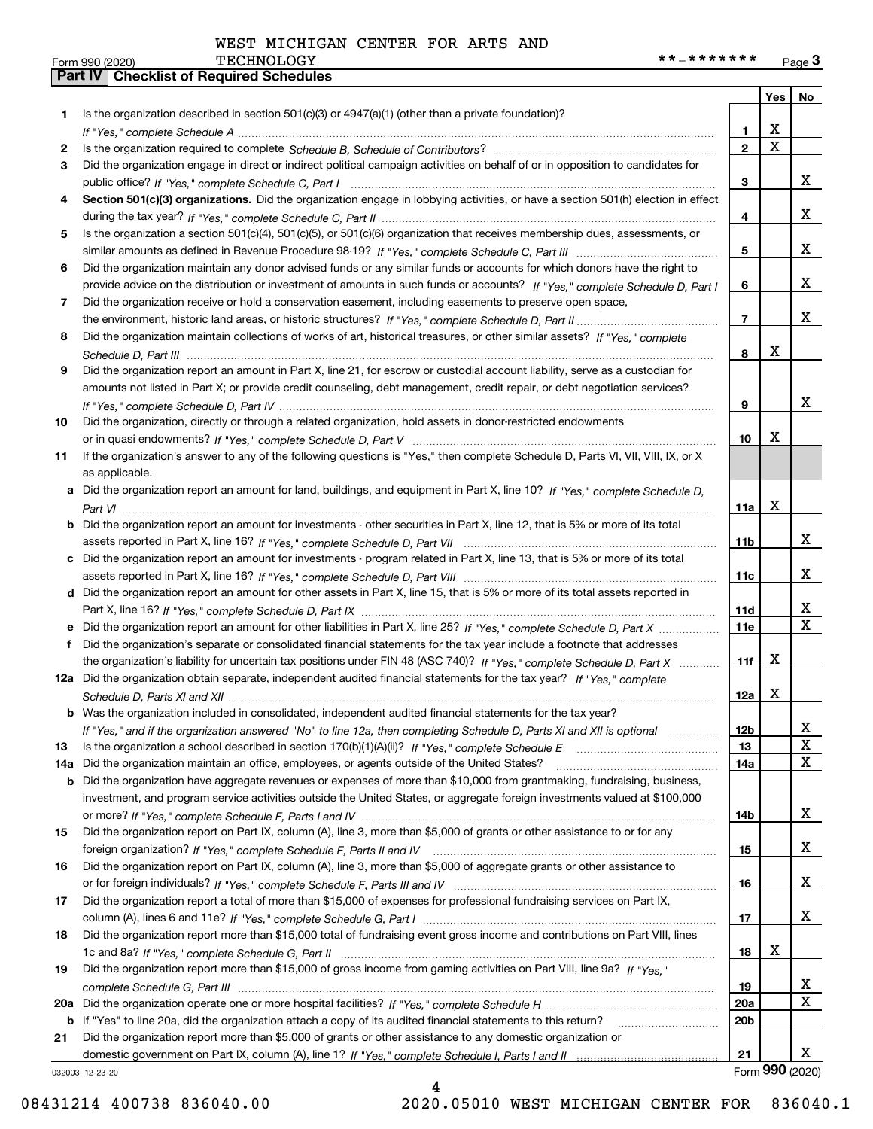WEST MICHIGAN CENTER FOR ARTS AND

|     |                                                                                                                                  |                | Yes                     | No                      |
|-----|----------------------------------------------------------------------------------------------------------------------------------|----------------|-------------------------|-------------------------|
| 1.  | Is the organization described in section $501(c)(3)$ or $4947(a)(1)$ (other than a private foundation)?                          |                |                         |                         |
|     |                                                                                                                                  | 1              | X                       |                         |
| 2   |                                                                                                                                  | $\overline{2}$ | $\overline{\mathbf{x}}$ |                         |
| 3   | Did the organization engage in direct or indirect political campaign activities on behalf of or in opposition to candidates for  |                |                         |                         |
|     |                                                                                                                                  | 3              |                         | x                       |
| 4   | Section 501(c)(3) organizations. Did the organization engage in lobbying activities, or have a section 501(h) election in effect |                |                         |                         |
|     |                                                                                                                                  | 4              |                         | x                       |
| 5   | Is the organization a section 501(c)(4), 501(c)(5), or 501(c)(6) organization that receives membership dues, assessments, or     |                |                         |                         |
|     |                                                                                                                                  | 5              |                         | x                       |
| 6   | Did the organization maintain any donor advised funds or any similar funds or accounts for which donors have the right to        |                |                         | x                       |
|     | provide advice on the distribution or investment of amounts in such funds or accounts? If "Yes," complete Schedule D, Part I     | 6              |                         |                         |
| 7   | Did the organization receive or hold a conservation easement, including easements to preserve open space,                        | $\overline{7}$ |                         | x                       |
|     | Did the organization maintain collections of works of art, historical treasures, or other similar assets? If "Yes," complete     |                |                         |                         |
| 8   |                                                                                                                                  | 8              | X                       |                         |
| 9   | Did the organization report an amount in Part X, line 21, for escrow or custodial account liability, serve as a custodian for    |                |                         |                         |
|     | amounts not listed in Part X; or provide credit counseling, debt management, credit repair, or debt negotiation services?        |                |                         |                         |
|     |                                                                                                                                  | 9              |                         | x                       |
| 10  | Did the organization, directly or through a related organization, hold assets in donor-restricted endowments                     |                |                         |                         |
|     |                                                                                                                                  | 10             | X                       |                         |
| 11  | If the organization's answer to any of the following questions is "Yes," then complete Schedule D, Parts VI, VII, VIII, IX, or X |                |                         |                         |
|     | as applicable.                                                                                                                   |                |                         |                         |
| а   | Did the organization report an amount for land, buildings, and equipment in Part X, line 10? If "Yes," complete Schedule D,      |                |                         |                         |
|     |                                                                                                                                  | 11a            | X                       |                         |
| b   | Did the organization report an amount for investments - other securities in Part X, line 12, that is 5% or more of its total     |                |                         |                         |
|     |                                                                                                                                  | 11b            |                         | x                       |
| c   | Did the organization report an amount for investments - program related in Part X, line 13, that is 5% or more of its total      |                |                         |                         |
|     |                                                                                                                                  | 11c            |                         | x                       |
|     | d Did the organization report an amount for other assets in Part X, line 15, that is 5% or more of its total assets reported in  |                |                         |                         |
|     |                                                                                                                                  | 11d            |                         | x                       |
|     | Did the organization report an amount for other liabilities in Part X, line 25? If "Yes," complete Schedule D, Part X            | 11e            |                         | $\overline{\mathbf{X}}$ |
| f   | Did the organization's separate or consolidated financial statements for the tax year include a footnote that addresses          |                |                         |                         |
|     | the organization's liability for uncertain tax positions under FIN 48 (ASC 740)? If "Yes," complete Schedule D, Part X           | 11f            | х                       |                         |
|     | 12a Did the organization obtain separate, independent audited financial statements for the tax year? If "Yes," complete          |                |                         |                         |
|     |                                                                                                                                  | 12a            | х                       |                         |
|     | <b>b</b> Was the organization included in consolidated, independent audited financial statements for the tax year?               |                |                         |                         |
|     | If "Yes," and if the organization answered "No" to line 12a, then completing Schedule D, Parts XI and XII is optional            | 12b            |                         | Δ.                      |
| 13  |                                                                                                                                  | 13             |                         | X                       |
| 14a | Did the organization maintain an office, employees, or agents outside of the United States?                                      | 14a            |                         | $\mathbf X$             |
| b   | Did the organization have aggregate revenues or expenses of more than \$10,000 from grantmaking, fundraising, business,          |                |                         |                         |
|     | investment, and program service activities outside the United States, or aggregate foreign investments valued at \$100,000       |                |                         |                         |
|     |                                                                                                                                  | 14b            |                         | x                       |
| 15  | Did the organization report on Part IX, column (A), line 3, more than \$5,000 of grants or other assistance to or for any        |                |                         |                         |
|     |                                                                                                                                  | 15             |                         | x                       |
| 16  | Did the organization report on Part IX, column (A), line 3, more than \$5,000 of aggregate grants or other assistance to         |                |                         |                         |
|     |                                                                                                                                  | 16             |                         | x                       |
| 17  | Did the organization report a total of more than \$15,000 of expenses for professional fundraising services on Part IX,          |                |                         |                         |
|     |                                                                                                                                  | 17             |                         | X                       |
| 18  | Did the organization report more than \$15,000 total of fundraising event gross income and contributions on Part VIII, lines     |                |                         |                         |
|     |                                                                                                                                  | 18             | х                       |                         |
| 19  | Did the organization report more than \$15,000 of gross income from gaming activities on Part VIII, line 9a? If "Yes."           |                |                         |                         |
|     |                                                                                                                                  | 19             |                         | x                       |
| 20a |                                                                                                                                  | 20a            |                         | $\mathbf X$             |
|     | b If "Yes" to line 20a, did the organization attach a copy of its audited financial statements to this return?                   | 20b            |                         |                         |
| 21  | Did the organization report more than \$5,000 of grants or other assistance to any domestic organization or                      |                |                         | x                       |
|     |                                                                                                                                  | 21             |                         | Form 990 (2020)         |
|     | 032003 12-23-20                                                                                                                  |                |                         |                         |

4

032003 12-23-20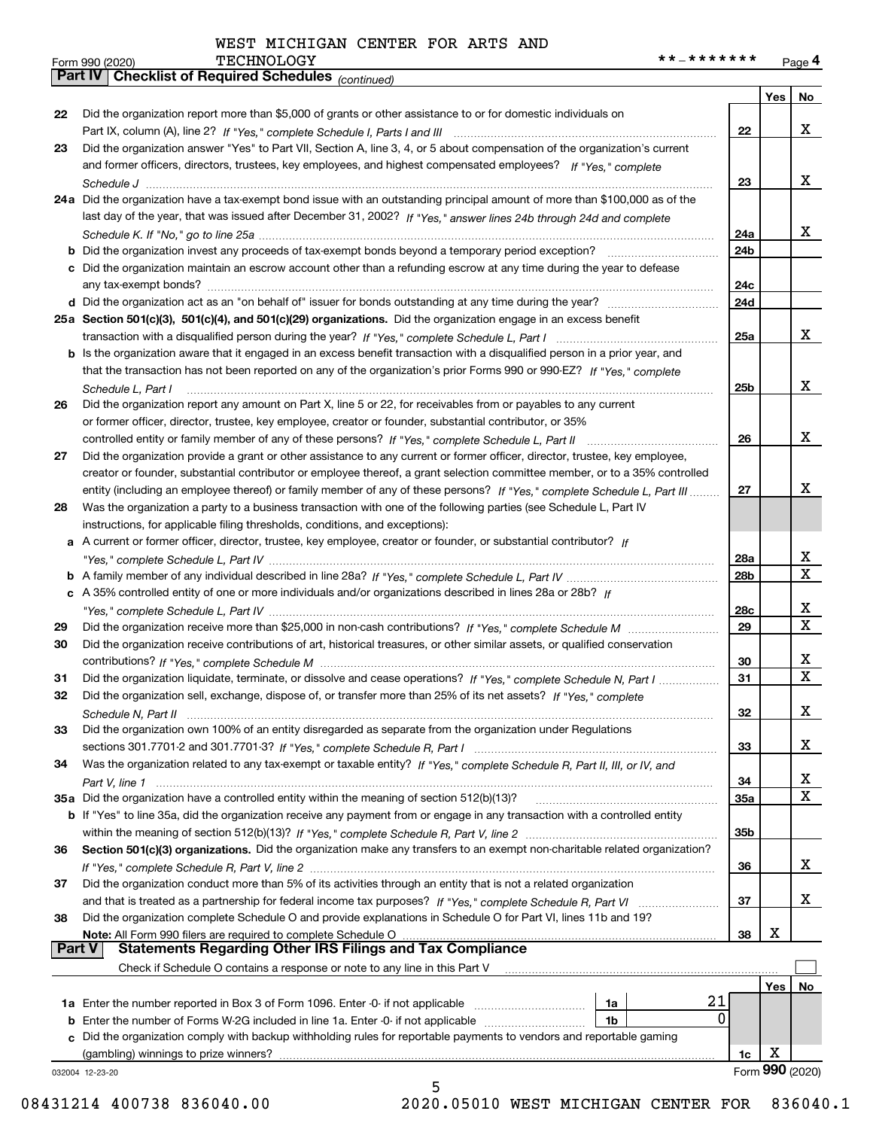WEST MICHIGAN CENTER FOR ARTS AND

*(continued)*

|               | 032004 12-23-20<br>5                                                                                                                                                                        |                 |                 |                             |
|---------------|---------------------------------------------------------------------------------------------------------------------------------------------------------------------------------------------|-----------------|-----------------|-----------------------------|
|               |                                                                                                                                                                                             | 1c              | Form 990 (2020) |                             |
|               | (gambling) winnings to prize winners?                                                                                                                                                       |                 | х               |                             |
| c             | Did the organization comply with backup withholding rules for reportable payments to vendors and reportable gaming                                                                          |                 |                 |                             |
| b             | 0<br>Enter the number of Forms W-2G included in line 1a. Enter -0- if not applicable<br>1b                                                                                                  |                 |                 |                             |
|               | 21<br>1a                                                                                                                                                                                    |                 |                 |                             |
|               |                                                                                                                                                                                             |                 | Yes             | No                          |
|               | Check if Schedule O contains a response or note to any line in this Part V                                                                                                                  |                 |                 |                             |
| <b>Part V</b> | <b>Statements Regarding Other IRS Filings and Tax Compliance</b>                                                                                                                            |                 |                 |                             |
|               | Note: All Form 990 filers are required to complete Schedule O                                                                                                                               | 38              | x               |                             |
| 38            | Did the organization complete Schedule O and provide explanations in Schedule O for Part VI, lines 11b and 19?                                                                              |                 |                 |                             |
| 37            |                                                                                                                                                                                             | 37              |                 | x                           |
|               | Did the organization conduct more than 5% of its activities through an entity that is not a related organization                                                                            | 36              |                 |                             |
|               |                                                                                                                                                                                             |                 |                 | x                           |
| 36            | Section 501(c)(3) organizations. Did the organization make any transfers to an exempt non-charitable related organization?                                                                  |                 |                 |                             |
|               |                                                                                                                                                                                             | 35b             |                 |                             |
|               | b If "Yes" to line 35a, did the organization receive any payment from or engage in any transaction with a controlled entity                                                                 |                 |                 |                             |
|               | 35a Did the organization have a controlled entity within the meaning of section 512(b)(13)?                                                                                                 | 35a             |                 | $\overline{\mathbf{x}}$     |
|               |                                                                                                                                                                                             | 34              |                 | x                           |
| 34            | Was the organization related to any tax-exempt or taxable entity? If "Yes," complete Schedule R, Part II, III, or IV, and                                                                   |                 |                 |                             |
|               |                                                                                                                                                                                             | 33              |                 | x                           |
| 33            | Did the organization own 100% of an entity disregarded as separate from the organization under Regulations                                                                                  |                 |                 |                             |
|               |                                                                                                                                                                                             | 32              |                 | X                           |
| 32            | Did the organization sell, exchange, dispose of, or transfer more than 25% of its net assets? If "Yes," complete                                                                            |                 |                 |                             |
| 31            | Did the organization liquidate, terminate, or dissolve and cease operations? If "Yes," complete Schedule N, Part I                                                                          | 31              |                 | $\overline{\textbf{x}}$     |
|               |                                                                                                                                                                                             | 30              |                 | x                           |
| 30            | Did the organization receive contributions of art, historical treasures, or other similar assets, or qualified conservation                                                                 |                 |                 |                             |
| 29            |                                                                                                                                                                                             | 29              |                 | $\overline{\mathbf{x}}$     |
|               |                                                                                                                                                                                             | 28c             |                 | x                           |
|               | c A 35% controlled entity of one or more individuals and/or organizations described in lines 28a or 28b? If                                                                                 |                 |                 |                             |
|               |                                                                                                                                                                                             | 28b             |                 | $\frac{\text{X}}{\text{X}}$ |
|               |                                                                                                                                                                                             | 28a             |                 |                             |
| а             | A current or former officer, director, trustee, key employee, creator or founder, or substantial contributor? If                                                                            |                 |                 |                             |
|               | instructions, for applicable filing thresholds, conditions, and exceptions):                                                                                                                |                 |                 |                             |
| 28            | Was the organization a party to a business transaction with one of the following parties (see Schedule L, Part IV                                                                           |                 |                 |                             |
|               | entity (including an employee thereof) or family member of any of these persons? If "Yes," complete Schedule L, Part III                                                                    | 27              |                 | x                           |
|               | creator or founder, substantial contributor or employee thereof, a grant selection committee member, or to a 35% controlled                                                                 |                 |                 |                             |
| 27            | Did the organization provide a grant or other assistance to any current or former officer, director, trustee, key employee,                                                                 |                 |                 |                             |
|               | controlled entity or family member of any of these persons? If "Yes," complete Schedule L, Part II                                                                                          | 26              |                 | x                           |
|               | or former officer, director, trustee, key employee, creator or founder, substantial contributor, or 35%                                                                                     |                 |                 |                             |
| 26            | Did the organization report any amount on Part X, line 5 or 22, for receivables from or payables to any current                                                                             |                 |                 |                             |
|               | Schedule L, Part I                                                                                                                                                                          | 25 <sub>b</sub> |                 | X                           |
|               | that the transaction has not been reported on any of the organization's prior Forms 990 or 990-EZ? If "Yes," complete                                                                       |                 |                 |                             |
|               | b Is the organization aware that it engaged in an excess benefit transaction with a disqualified person in a prior year, and                                                                |                 |                 |                             |
|               | transaction with a disqualified person during the year? If "Yes," complete Schedule L, Part I manufaction with a disqualified person during the year? If "Yes," complete Schedule L, Part I | 25a             |                 | x                           |
|               | 25a Section 501(c)(3), 501(c)(4), and 501(c)(29) organizations. Did the organization engage in an excess benefit                                                                            |                 |                 |                             |
|               |                                                                                                                                                                                             | 24d             |                 |                             |
|               |                                                                                                                                                                                             | 24c             |                 |                             |
|               | c Did the organization maintain an escrow account other than a refunding escrow at any time during the year to defease                                                                      |                 |                 |                             |
|               | <b>b</b> Did the organization invest any proceeds of tax-exempt bonds beyond a temporary period exception?                                                                                  | 24b             |                 |                             |
|               |                                                                                                                                                                                             | 24a             |                 | x                           |
|               | last day of the year, that was issued after December 31, 2002? If "Yes," answer lines 24b through 24d and complete                                                                          |                 |                 |                             |
|               | 24a Did the organization have a tax-exempt bond issue with an outstanding principal amount of more than \$100,000 as of the                                                                 |                 |                 |                             |
|               |                                                                                                                                                                                             | 23              |                 | X                           |
|               | and former officers, directors, trustees, key employees, and highest compensated employees? If "Yes," complete                                                                              |                 |                 |                             |
| 23            | Did the organization answer "Yes" to Part VII, Section A, line 3, 4, or 5 about compensation of the organization's current                                                                  |                 |                 |                             |
|               |                                                                                                                                                                                             | 22              |                 | x                           |
| 22            | Did the organization report more than \$5,000 of grants or other assistance to or for domestic individuals on                                                                               |                 |                 |                             |
|               |                                                                                                                                                                                             |                 | Yes             | No                          |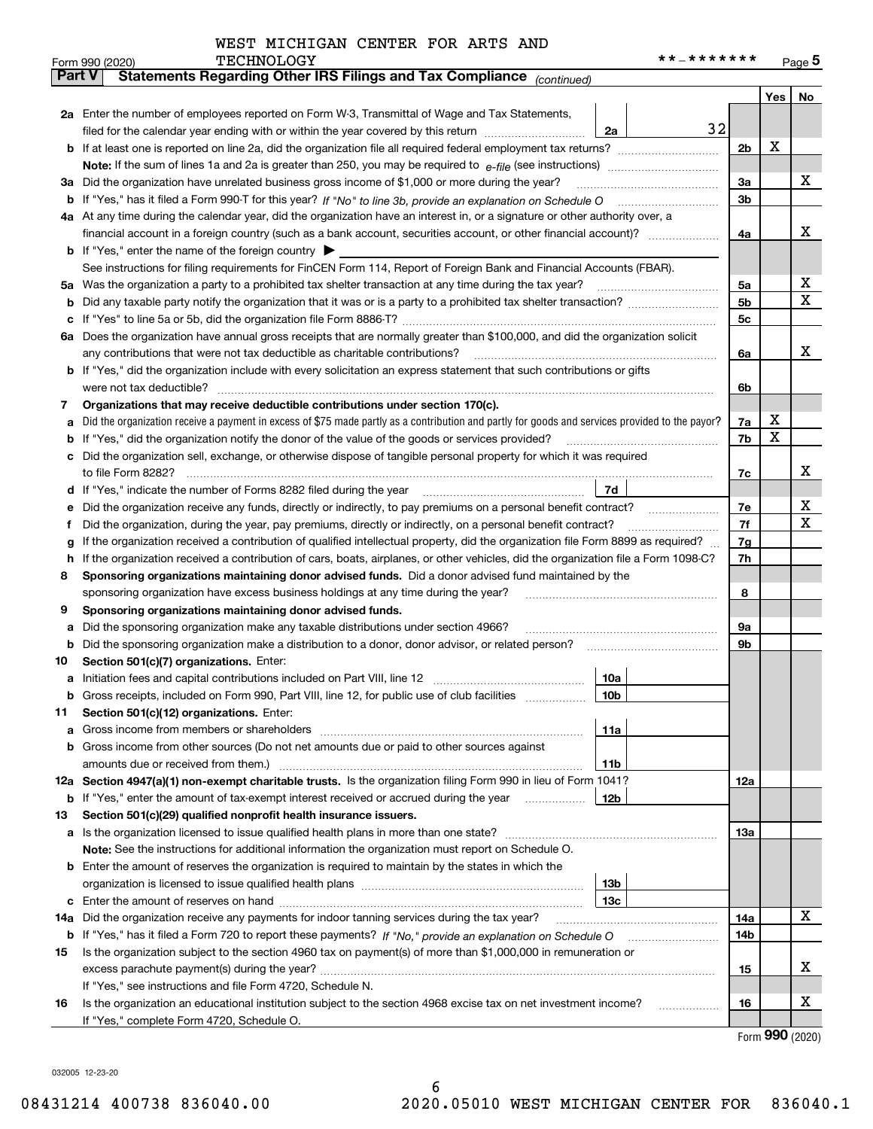| WEST MICHIGAN CENTER FOR ARTS AND |
|-----------------------------------|
|-----------------------------------|

| <b>Part V</b> | Statements Regarding Other IRS Filings and Tax Compliance (continued)                                                                           |    |                |     | <u>Page</u> 5 |  |  |  |  |  |
|---------------|-------------------------------------------------------------------------------------------------------------------------------------------------|----|----------------|-----|---------------|--|--|--|--|--|
|               |                                                                                                                                                 |    |                |     |               |  |  |  |  |  |
|               |                                                                                                                                                 |    |                | Yes | No            |  |  |  |  |  |
|               | 2a Enter the number of employees reported on Form W-3, Transmittal of Wage and Tax Statements,                                                  |    |                |     |               |  |  |  |  |  |
|               | filed for the calendar year ending with or within the year covered by this return<br>2a                                                         | 32 |                |     |               |  |  |  |  |  |
|               |                                                                                                                                                 |    | 2 <sub>b</sub> | х   |               |  |  |  |  |  |
|               |                                                                                                                                                 |    |                |     |               |  |  |  |  |  |
| за            | Did the organization have unrelated business gross income of \$1,000 or more during the year?                                                   |    |                |     |               |  |  |  |  |  |
|               |                                                                                                                                                 |    | 3b             |     |               |  |  |  |  |  |
|               | 4a At any time during the calendar year, did the organization have an interest in, or a signature or other authority over, a                    |    |                |     |               |  |  |  |  |  |
|               | financial account in a foreign country (such as a bank account, securities account, or other financial account)?                                |    | 4a             |     | х             |  |  |  |  |  |
|               | <b>b</b> If "Yes," enter the name of the foreign country                                                                                        |    |                |     |               |  |  |  |  |  |
|               | See instructions for filing requirements for FinCEN Form 114, Report of Foreign Bank and Financial Accounts (FBAR).                             |    |                |     |               |  |  |  |  |  |
| 5a            | Was the organization a party to a prohibited tax shelter transaction at any time during the tax year?                                           |    | 5a             |     | х             |  |  |  |  |  |
| b             |                                                                                                                                                 |    | 5 <sub>b</sub> |     | х             |  |  |  |  |  |
| с             |                                                                                                                                                 |    | 5c             |     |               |  |  |  |  |  |
|               | 6a Does the organization have annual gross receipts that are normally greater than \$100,000, and did the organization solicit                  |    |                |     |               |  |  |  |  |  |
|               |                                                                                                                                                 |    | 6a             |     | х             |  |  |  |  |  |
|               | <b>b</b> If "Yes," did the organization include with every solicitation an express statement that such contributions or gifts                   |    |                |     |               |  |  |  |  |  |
|               | were not tax deductible?                                                                                                                        |    | 6b             |     |               |  |  |  |  |  |
| 7             | Organizations that may receive deductible contributions under section 170(c).                                                                   |    |                |     |               |  |  |  |  |  |
| а             | Did the organization receive a payment in excess of \$75 made partly as a contribution and partly for goods and services provided to the payor? |    | 7a             | x   |               |  |  |  |  |  |
|               | <b>b</b> If "Yes," did the organization notify the donor of the value of the goods or services provided?                                        |    | 7b             | х   |               |  |  |  |  |  |
|               | c Did the organization sell, exchange, or otherwise dispose of tangible personal property for which it was required                             |    |                |     |               |  |  |  |  |  |
|               |                                                                                                                                                 |    | 7c             |     | х             |  |  |  |  |  |
|               | 7d<br>d If "Yes," indicate the number of Forms 8282 filed during the year [11] [11] No. 2010 [12] Henry Manuscone St                            |    |                |     |               |  |  |  |  |  |
| е             | Did the organization receive any funds, directly or indirectly, to pay premiums on a personal benefit contract?                                 |    | 7e             |     | х             |  |  |  |  |  |
| Ť.            | Did the organization, during the year, pay premiums, directly or indirectly, on a personal benefit contract?                                    |    | 7f             |     | х             |  |  |  |  |  |
| g             | If the organization received a contribution of qualified intellectual property, did the organization file Form 8899 as required?                |    | 7g             |     |               |  |  |  |  |  |
| h.            | If the organization received a contribution of cars, boats, airplanes, or other vehicles, did the organization file a Form 1098-C?              |    | 7h             |     |               |  |  |  |  |  |
| 8             | Sponsoring organizations maintaining donor advised funds. Did a donor advised fund maintained by the                                            |    |                |     |               |  |  |  |  |  |
|               | sponsoring organization have excess business holdings at any time during the year?                                                              |    | 8              |     |               |  |  |  |  |  |
| 9             | Sponsoring organizations maintaining donor advised funds.                                                                                       |    |                |     |               |  |  |  |  |  |
| а             | Did the sponsoring organization make any taxable distributions under section 4966?                                                              |    | 9а             |     |               |  |  |  |  |  |
| b             | Did the sponsoring organization make a distribution to a donor, donor advisor, or related person?                                               |    | 9b             |     |               |  |  |  |  |  |
| 10            | Section 501(c)(7) organizations. Enter:                                                                                                         |    |                |     |               |  |  |  |  |  |
|               | 10a                                                                                                                                             |    |                |     |               |  |  |  |  |  |
|               | 10 <sub>b</sub><br>Gross receipts, included on Form 990, Part VIII, line 12, for public use of club facilities                                  |    |                |     |               |  |  |  |  |  |
| 11            | Section 501(c)(12) organizations. Enter:                                                                                                        |    |                |     |               |  |  |  |  |  |
|               | 11a                                                                                                                                             |    |                |     |               |  |  |  |  |  |
|               | <b>b</b> Gross income from other sources (Do not net amounts due or paid to other sources against                                               |    |                |     |               |  |  |  |  |  |
|               | 11b                                                                                                                                             |    |                |     |               |  |  |  |  |  |
|               | 12a Section 4947(a)(1) non-exempt charitable trusts. Is the organization filing Form 990 in lieu of Form 1041?                                  |    | 12a            |     |               |  |  |  |  |  |
|               | 12b<br><b>b</b> If "Yes," enter the amount of tax-exempt interest received or accrued during the year <i>manument</i>                           |    |                |     |               |  |  |  |  |  |
| 13            | Section 501(c)(29) qualified nonprofit health insurance issuers.                                                                                |    |                |     |               |  |  |  |  |  |
|               | a Is the organization licensed to issue qualified health plans in more than one state?                                                          |    | 13а            |     |               |  |  |  |  |  |
|               | Note: See the instructions for additional information the organization must report on Schedule O.                                               |    |                |     |               |  |  |  |  |  |
|               | <b>b</b> Enter the amount of reserves the organization is required to maintain by the states in which the                                       |    |                |     |               |  |  |  |  |  |
|               | 13b                                                                                                                                             |    |                |     |               |  |  |  |  |  |
|               | 13c                                                                                                                                             |    |                |     |               |  |  |  |  |  |
| 14a           | Did the organization receive any payments for indoor tanning services during the tax year?                                                      |    | 14a            |     | х             |  |  |  |  |  |
|               | <b>b</b> If "Yes," has it filed a Form 720 to report these payments? If "No," provide an explanation on Schedule O                              |    | 14b            |     |               |  |  |  |  |  |
| 15            | Is the organization subject to the section 4960 tax on payment(s) of more than \$1,000,000 in remuneration or                                   |    |                |     |               |  |  |  |  |  |
|               |                                                                                                                                                 |    | 15             |     | x             |  |  |  |  |  |
|               | If "Yes," see instructions and file Form 4720, Schedule N.                                                                                      |    |                |     |               |  |  |  |  |  |
| 16            | Is the organization an educational institution subject to the section 4968 excise tax on net investment income?                                 |    | 16             |     | x             |  |  |  |  |  |
|               | If "Yes," complete Form 4720, Schedule O.                                                                                                       |    |                |     |               |  |  |  |  |  |

6

Form (2020) **990**

032005 12-23-20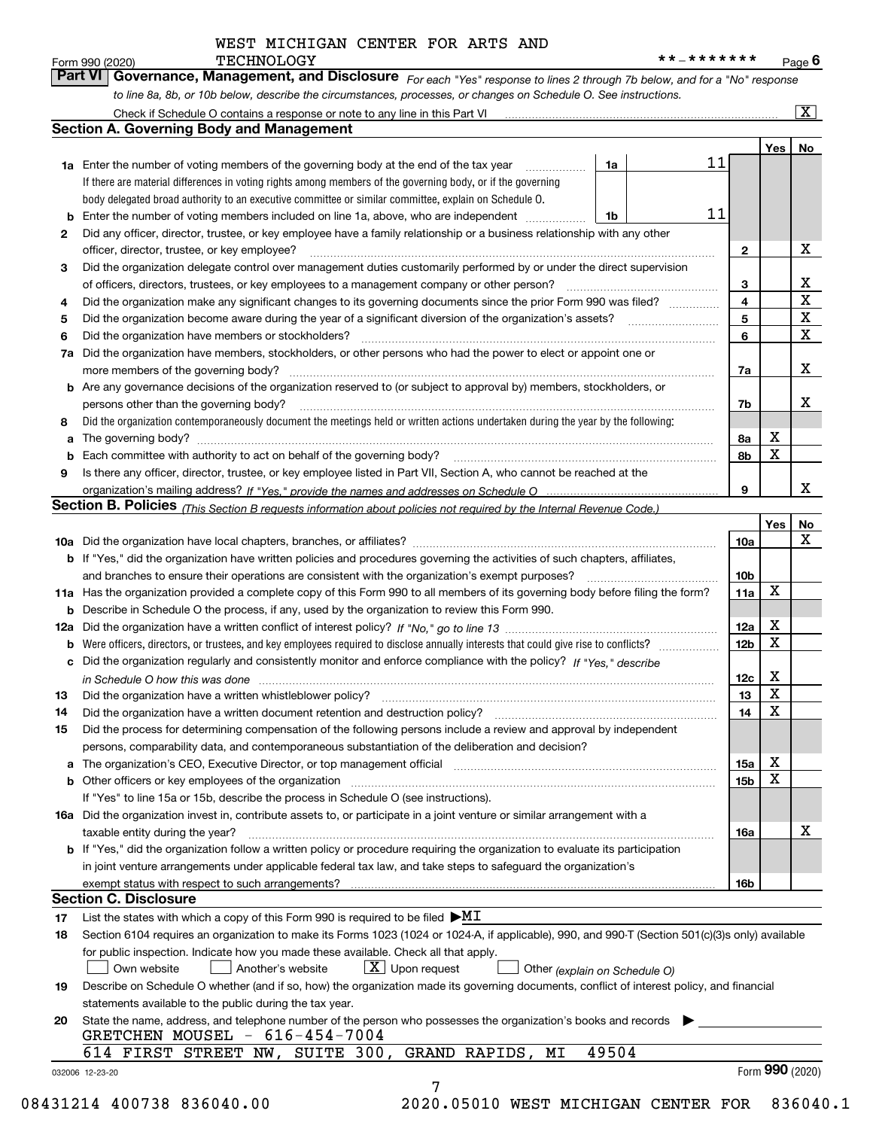### WEST MICHIGAN CENTER FOR ARTS AND

*For each "Yes" response to lines 2 through 7b below, and for a "No" response*

|    |                                                                                                                                                                                                                                |                              | Yes | No                      |
|----|--------------------------------------------------------------------------------------------------------------------------------------------------------------------------------------------------------------------------------|------------------------------|-----|-------------------------|
|    | 11<br>1a<br><b>1a</b> Enter the number of voting members of the governing body at the end of the tax year                                                                                                                      |                              |     |                         |
|    | If there are material differences in voting rights among members of the governing body, or if the governing                                                                                                                    |                              |     |                         |
|    | body delegated broad authority to an executive committee or similar committee, explain on Schedule O.                                                                                                                          |                              |     |                         |
|    | 11<br>Enter the number of voting members included on line 1a, above, who are independent<br>1 <sub>b</sub>                                                                                                                     |                              |     |                         |
| 2  | Did any officer, director, trustee, or key employee have a family relationship or a business relationship with any other                                                                                                       |                              |     |                         |
|    | officer, director, trustee, or key employee?                                                                                                                                                                                   | $\mathbf{2}$                 |     | х                       |
| 3  | Did the organization delegate control over management duties customarily performed by or under the direct supervision                                                                                                          |                              |     |                         |
|    |                                                                                                                                                                                                                                |                              |     | x                       |
|    | Did the organization make any significant changes to its governing documents since the prior Form 990 was filed?                                                                                                               | 3<br>$\overline{\mathbf{4}}$ |     | $\overline{\mathbf{x}}$ |
| 4  |                                                                                                                                                                                                                                | 5                            |     | $\mathbf X$             |
| 5  |                                                                                                                                                                                                                                |                              |     | X                       |
| 6  | Did the organization have members or stockholders?                                                                                                                                                                             | 6                            |     |                         |
| 7a | Did the organization have members, stockholders, or other persons who had the power to elect or appoint one or                                                                                                                 |                              |     |                         |
|    |                                                                                                                                                                                                                                | 7a                           |     | х                       |
|    | <b>b</b> Are any governance decisions of the organization reserved to (or subject to approval by) members, stockholders, or                                                                                                    |                              |     |                         |
|    | persons other than the governing body?                                                                                                                                                                                         | 7b                           |     | х                       |
| 8  | Did the organization contemporaneously document the meetings held or written actions undertaken during the year by the following:                                                                                              |                              |     |                         |
| a  |                                                                                                                                                                                                                                | 8a                           | х   |                         |
| b  | Each committee with authority to act on behalf of the governing body? [11] manufactures manufactures with authority to act on behalf of the governing body? [11] manufactures manufactures with authority of the state with an | 8b                           | X   |                         |
| 9  | Is there any officer, director, trustee, or key employee listed in Part VII, Section A, who cannot be reached at the                                                                                                           |                              |     |                         |
|    |                                                                                                                                                                                                                                | 9                            |     | x                       |
|    | Section B. Policies (This Section B requests information about policies not required by the Internal Revenue Code.)                                                                                                            |                              |     |                         |
|    |                                                                                                                                                                                                                                |                              | Yes | No                      |
|    |                                                                                                                                                                                                                                | 10a                          |     | X                       |
|    | <b>b</b> If "Yes," did the organization have written policies and procedures governing the activities of such chapters, affiliates,                                                                                            |                              |     |                         |
|    | and branches to ensure their operations are consistent with the organization's exempt purposes?                                                                                                                                | 10b                          |     |                         |
|    | 11a Has the organization provided a complete copy of this Form 990 to all members of its governing body before filing the form?                                                                                                | 11a                          | x   |                         |
|    | <b>b</b> Describe in Schedule O the process, if any, used by the organization to review this Form 990.                                                                                                                         |                              |     |                         |
|    |                                                                                                                                                                                                                                | 12a                          | Х   |                         |
| b  |                                                                                                                                                                                                                                | 12 <sub>b</sub>              | X   |                         |
| c  | Did the organization regularly and consistently monitor and enforce compliance with the policy? If "Yes," describe                                                                                                             |                              |     |                         |
|    | $\dot{m}$ Schedule O how this was done $\ldots$ $\ldots$ $\ldots$ $\ldots$ $\ldots$ $\ldots$ $\ldots$ $\ldots$ $\ldots$ $\ldots$ $\ldots$ $\ldots$ $\ldots$ $\ldots$ $\ldots$ $\ldots$ $\ldots$ $\ldots$                       | 12c                          | Х   |                         |
| 13 |                                                                                                                                                                                                                                | 13                           | X   |                         |
| 14 | Did the organization have a written document retention and destruction policy? [11] manufaction policy? [11] manufaction policy? [11] manufaction policy? [11] manufaction policy? [11] manufaction policy? [11] manufaction p | 14                           | X   |                         |
|    | Did the process for determining compensation of the following persons include a review and approval by independent                                                                                                             |                              |     |                         |
|    | persons, comparability data, and contemporaneous substantiation of the deliberation and decision?                                                                                                                              |                              |     |                         |
|    |                                                                                                                                                                                                                                | 15a                          | Х   |                         |
|    |                                                                                                                                                                                                                                | 15b                          | Х   |                         |
|    | If "Yes" to line 15a or 15b, describe the process in Schedule O (see instructions).                                                                                                                                            |                              |     |                         |
|    | 16a Did the organization invest in, contribute assets to, or participate in a joint venture or similar arrangement with a                                                                                                      |                              |     |                         |
|    | taxable entity during the year?                                                                                                                                                                                                | 16a                          |     | х                       |
|    | b If "Yes," did the organization follow a written policy or procedure requiring the organization to evaluate its participation                                                                                                 |                              |     |                         |
|    | in joint venture arrangements under applicable federal tax law, and take steps to safequard the organization's                                                                                                                 |                              |     |                         |
|    |                                                                                                                                                                                                                                |                              |     |                         |
|    | <b>Section C. Disclosure</b>                                                                                                                                                                                                   | 16b                          |     |                         |
|    |                                                                                                                                                                                                                                |                              |     |                         |
| 17 | List the states with which a copy of this Form 990 is required to be filed $\blacktriangleright$ MI                                                                                                                            |                              |     |                         |
| 18 | Section 6104 requires an organization to make its Forms 1023 (1024 or 1024-A, if applicable), 990, and 990-T (Section 501(c)(3)s only) available                                                                               |                              |     |                         |
|    | for public inspection. Indicate how you made these available. Check all that apply.                                                                                                                                            |                              |     |                         |
|    | $\lfloor x \rfloor$ Upon request<br>Own website<br>Another's website<br>Other (explain on Schedule O)                                                                                                                          |                              |     |                         |
| 19 | Describe on Schedule O whether (and if so, how) the organization made its governing documents, conflict of interest policy, and financial                                                                                      |                              |     |                         |
|    | statements available to the public during the tax year.                                                                                                                                                                        |                              |     |                         |
| 20 | State the name, address, and telephone number of the person who possesses the organization's books and records                                                                                                                 |                              |     |                         |
|    | GRETCHEN MOUSEL - 616-454-7004                                                                                                                                                                                                 |                              |     |                         |
|    | 49504<br>614 FIRST STREET NW, SUITE 300, GRAND RAPIDS,<br>MΙ                                                                                                                                                                   |                              |     |                         |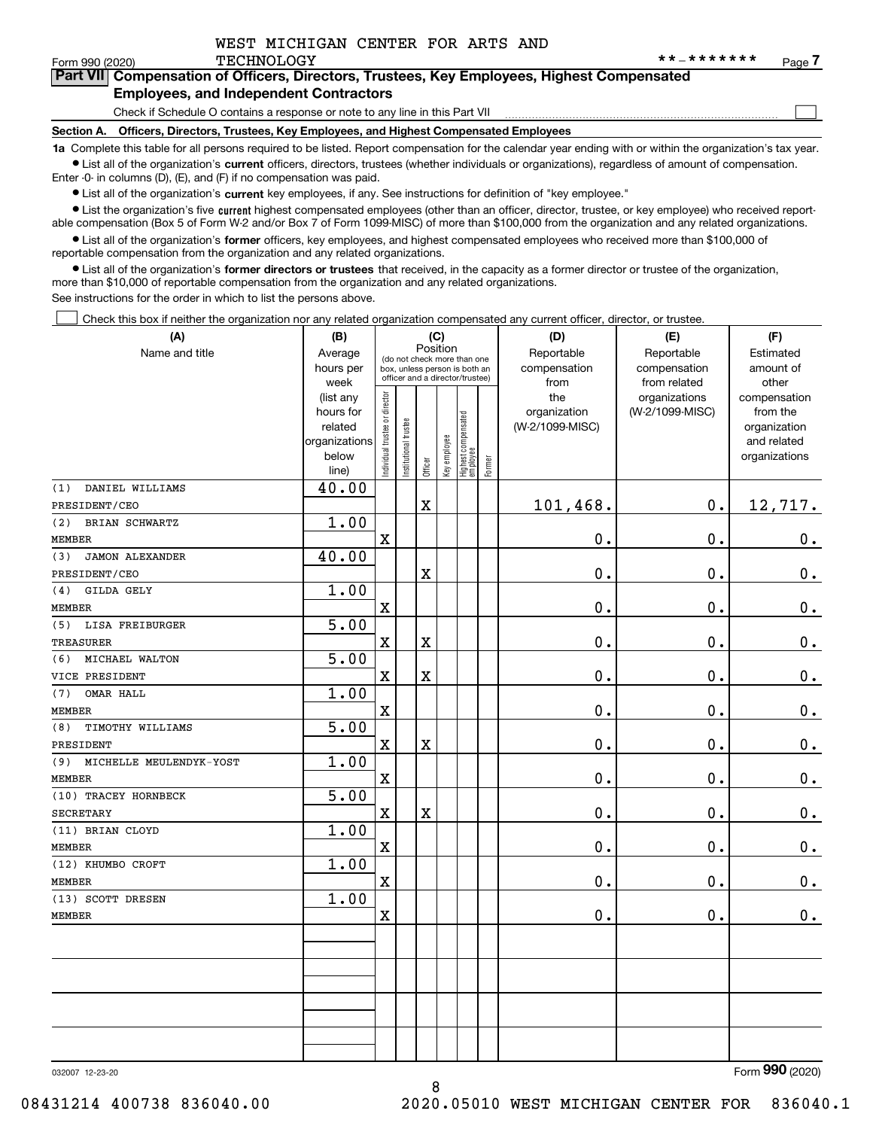$\mathcal{L}^{\text{max}}$ 

| orm 990 (2020) <sup>.</sup> | TECHNOLOGY                                                                                 | **_******* | Page - |
|-----------------------------|--------------------------------------------------------------------------------------------|------------|--------|
|                             | Part VII Compensation of Officers, Directors, Trustees, Key Employees, Highest Compensated |            |        |
|                             | <b>Employees, and Independent Contractors</b>                                              |            |        |

Check if Schedule O contains a response or note to any line in this Part VII

**Section A. Officers, Directors, Trustees, Key Employees, and Highest Compensated Employees**

**1a**  Complete this table for all persons required to be listed. Report compensation for the calendar year ending with or within the organization's tax year. **•** List all of the organization's current officers, directors, trustees (whether individuals or organizations), regardless of amount of compensation.

Enter -0- in columns (D), (E), and (F) if no compensation was paid.

 $\bullet$  List all of the organization's  $\,$ current key employees, if any. See instructions for definition of "key employee."

**•** List the organization's five current highest compensated employees (other than an officer, director, trustee, or key employee) who received reportable compensation (Box 5 of Form W-2 and/or Box 7 of Form 1099-MISC) of more than \$100,000 from the organization and any related organizations.

**•** List all of the organization's former officers, key employees, and highest compensated employees who received more than \$100,000 of reportable compensation from the organization and any related organizations.

**former directors or trustees**  ¥ List all of the organization's that received, in the capacity as a former director or trustee of the organization, more than \$10,000 of reportable compensation from the organization and any related organizations.

See instructions for the order in which to list the persons above.

Check this box if neither the organization nor any related organization compensated any current officer, director, or trustee.  $\mathcal{L}^{\text{max}}$ 

| (A)                            | (B)            |                               | (C)                                                                                             |                         |              |                                  |        | (D)             | (E)             | (F)           |
|--------------------------------|----------------|-------------------------------|-------------------------------------------------------------------------------------------------|-------------------------|--------------|----------------------------------|--------|-----------------|-----------------|---------------|
| Name and title                 | Average        |                               |                                                                                                 | Position                |              |                                  |        | Reportable      | Reportable      | Estimated     |
|                                | hours per      |                               | (do not check more than one<br>box, unless person is both an<br>officer and a director/trustee) |                         |              |                                  |        | compensation    | compensation    | amount of     |
|                                | week           |                               |                                                                                                 |                         |              |                                  |        | from            | from related    | other         |
|                                | (list any      |                               |                                                                                                 |                         |              |                                  |        | the             | organizations   | compensation  |
|                                | hours for      |                               |                                                                                                 |                         |              |                                  |        | organization    | (W-2/1099-MISC) | from the      |
|                                | related        |                               |                                                                                                 |                         |              |                                  |        | (W-2/1099-MISC) |                 | organization  |
|                                | organizations  |                               |                                                                                                 |                         |              |                                  |        |                 |                 | and related   |
|                                | below<br>line) | ndividual trustee or director | nstitutional trustee                                                                            | Officer                 | Key employee | Highest compensated<br> employee | Former |                 |                 | organizations |
| DANIEL WILLIAMS<br>(1)         | 40.00          |                               |                                                                                                 |                         |              |                                  |        |                 |                 |               |
| PRESIDENT/CEO                  |                |                               |                                                                                                 | $\mathbf X$             |              |                                  |        | 101,468.        | 0.              | 12,717.       |
| BRIAN SCHWARTZ<br>(2)          | 1.00           |                               |                                                                                                 |                         |              |                                  |        |                 |                 |               |
| <b>MEMBER</b>                  |                | $\mathbf x$                   |                                                                                                 |                         |              |                                  |        | 0.              | 0.              | $0_{.}$       |
| <b>JAMON ALEXANDER</b><br>(3)  | 40.00          |                               |                                                                                                 |                         |              |                                  |        |                 |                 |               |
| PRESIDENT/CEO                  |                |                               |                                                                                                 | $\rm X$                 |              |                                  |        | 0.              | $\mathbf 0$ .   | $0_{.}$       |
| (4)<br>GILDA GELY              | 1.00           |                               |                                                                                                 |                         |              |                                  |        |                 |                 |               |
| MEMBER                         |                | X                             |                                                                                                 |                         |              |                                  |        | 0.              | 0.              | $\mathbf 0$ . |
| LISA FREIBURGER<br>(5)         | 5.00           |                               |                                                                                                 |                         |              |                                  |        |                 |                 |               |
| <b>TREASURER</b>               |                | $\mathbf x$                   |                                                                                                 | $\rm X$                 |              |                                  |        | 0.              | $\mathbf 0$ .   | $\mathbf 0$ . |
| (6)<br>MICHAEL WALTON          | 5.00           |                               |                                                                                                 |                         |              |                                  |        |                 |                 |               |
| VICE PRESIDENT                 |                | X                             |                                                                                                 | $\overline{\mathbf{X}}$ |              |                                  |        | 0.              | 0.              | $\mathbf 0$ . |
| OMAR HALL<br>(7)               | 1.00           |                               |                                                                                                 |                         |              |                                  |        |                 |                 |               |
| <b>MEMBER</b>                  |                | $\rm X$                       |                                                                                                 |                         |              |                                  |        | 0.              | $\mathbf 0$ .   | $\mathbf 0$ . |
| (8)<br>TIMOTHY WILLIAMS        | 5.00           |                               |                                                                                                 |                         |              |                                  |        |                 |                 |               |
| PRESIDENT                      |                | X                             |                                                                                                 | $\overline{\mathbf{X}}$ |              |                                  |        | 0.              | $\mathbf 0$ .   | $0_{.}$       |
| MICHELLE MEULENDYK-YOST<br>(9) | 1.00           |                               |                                                                                                 |                         |              |                                  |        |                 |                 |               |
| <b>MEMBER</b>                  |                | $\mathbf X$                   |                                                                                                 |                         |              |                                  |        | 0.              | 0.              | $\mathbf 0$ . |
| (10) TRACEY HORNBECK           | 5.00           |                               |                                                                                                 |                         |              |                                  |        |                 |                 |               |
| <b>SECRETARY</b>               |                | X                             |                                                                                                 | $\overline{\text{X}}$   |              |                                  |        | $\mathbf 0$ .   | $\mathbf 0$ .   | $0_{.}$       |
| (11) BRIAN CLOYD               | 1.00           |                               |                                                                                                 |                         |              |                                  |        |                 |                 |               |
| <b>MEMBER</b>                  |                | $\mathbf X$                   |                                                                                                 |                         |              |                                  |        | 0.              | 0.              | $\mathbf 0$ . |
| (12) KHUMBO CROFT              | 1.00           |                               |                                                                                                 |                         |              |                                  |        |                 |                 |               |
| <b>MEMBER</b>                  |                | $\overline{\textbf{X}}$       |                                                                                                 |                         |              |                                  |        | 0.              | $\mathbf 0$ .   | $\mathbf 0$ . |
| (13) SCOTT DRESEN              | 1.00           |                               |                                                                                                 |                         |              |                                  |        |                 |                 |               |
| <b>MEMBER</b>                  |                | X                             |                                                                                                 |                         |              |                                  |        | 0.              | $\mathbf 0$ .   | 0.            |
|                                |                |                               |                                                                                                 |                         |              |                                  |        |                 |                 |               |
|                                |                |                               |                                                                                                 |                         |              |                                  |        |                 |                 |               |
|                                |                |                               |                                                                                                 |                         |              |                                  |        |                 |                 |               |
|                                |                |                               |                                                                                                 |                         |              |                                  |        |                 |                 |               |
|                                |                |                               |                                                                                                 |                         |              |                                  |        |                 |                 |               |
|                                |                |                               |                                                                                                 |                         |              |                                  |        |                 |                 |               |
|                                |                |                               |                                                                                                 |                         |              |                                  |        |                 |                 |               |

8

032007 12-23-20

Form (2020) **990**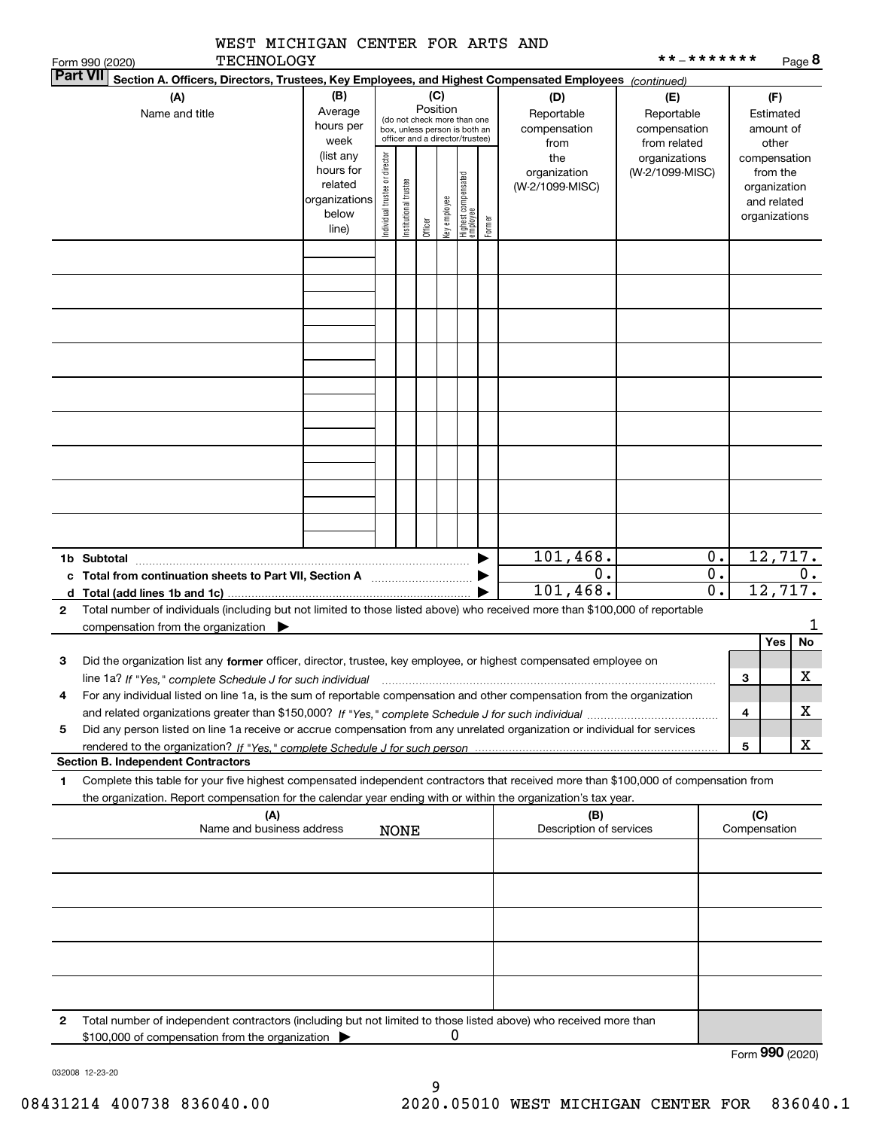|   | WEST MICHIGAN CENTER FOR ARTS AND                                                                                                                                                                                                                                         |                                                                                                                                                                                                                                                                            |                                |                       |         |              |                                 |                                    |                                                   | * * _ * * * * * * *                    |                                      |                     |                                                                          |           |
|---|---------------------------------------------------------------------------------------------------------------------------------------------------------------------------------------------------------------------------------------------------------------------------|----------------------------------------------------------------------------------------------------------------------------------------------------------------------------------------------------------------------------------------------------------------------------|--------------------------------|-----------------------|---------|--------------|---------------------------------|------------------------------------|---------------------------------------------------|----------------------------------------|--------------------------------------|---------------------|--------------------------------------------------------------------------|-----------|
|   | <b>TECHNOLOGY</b><br>Form 990 (2020)<br><b>Part VII</b>                                                                                                                                                                                                                   |                                                                                                                                                                                                                                                                            |                                |                       |         |              |                                 |                                    |                                                   |                                        |                                      |                     |                                                                          | Page 8    |
|   | (A)<br>Name and title                                                                                                                                                                                                                                                     | Section A. Officers, Directors, Trustees, Key Employees, and Highest Compensated Employees (continued)<br>(B)<br>(C)<br>(D)<br>Position<br>Average<br>(do not check more than one<br>hours per<br>box, unless person is both an<br>officer and a director/trustee)<br>week |                                |                       |         |              |                                 | Reportable<br>compensation<br>from | (E)<br>Reportable<br>compensation<br>from related | (F)<br>Estimated<br>amount of<br>other |                                      |                     |                                                                          |           |
|   |                                                                                                                                                                                                                                                                           | (list any<br>hours for<br>related<br>organizations<br>below<br>line)                                                                                                                                                                                                       | Individual trustee or director | Institutional trustee | Officer | Key employee | Highest compensated<br>employee | Former                             | the<br>organization<br>(W-2/1099-MISC)            | organizations<br>(W-2/1099-MISC)       |                                      |                     | compensation<br>from the<br>organization<br>and related<br>organizations |           |
|   |                                                                                                                                                                                                                                                                           |                                                                                                                                                                                                                                                                            |                                |                       |         |              |                                 |                                    |                                                   |                                        |                                      |                     |                                                                          |           |
|   |                                                                                                                                                                                                                                                                           |                                                                                                                                                                                                                                                                            |                                |                       |         |              |                                 |                                    |                                                   |                                        |                                      |                     |                                                                          |           |
|   |                                                                                                                                                                                                                                                                           |                                                                                                                                                                                                                                                                            |                                |                       |         |              |                                 |                                    |                                                   |                                        |                                      |                     |                                                                          |           |
|   |                                                                                                                                                                                                                                                                           |                                                                                                                                                                                                                                                                            |                                |                       |         |              |                                 |                                    |                                                   |                                        |                                      |                     |                                                                          |           |
|   |                                                                                                                                                                                                                                                                           |                                                                                                                                                                                                                                                                            |                                |                       |         |              |                                 |                                    |                                                   |                                        |                                      |                     |                                                                          |           |
|   | 1b Subtotal                                                                                                                                                                                                                                                               |                                                                                                                                                                                                                                                                            |                                |                       |         |              |                                 |                                    | 101, 468.                                         |                                        | $\mathbf 0$ .                        |                     | 12,717.                                                                  |           |
|   | c Total from continuation sheets to Part VII, Section A [11, 11] [11] Total from continuation sheets to Part VII, Section A<br>d Total (add lines 1b and 1c)                                                                                                              |                                                                                                                                                                                                                                                                            |                                |                       |         |              |                                 |                                    | 0.<br>101,468.                                    |                                        | $\overline{0}$ .<br>$\overline{0}$ . |                     | 12,717.                                                                  | 0.        |
| 2 | Total number of individuals (including but not limited to those listed above) who received more than \$100,000 of reportable<br>compensation from the organization $\blacktriangleright$                                                                                  |                                                                                                                                                                                                                                                                            |                                |                       |         |              |                                 |                                    |                                                   |                                        |                                      |                     |                                                                          | 1         |
|   |                                                                                                                                                                                                                                                                           |                                                                                                                                                                                                                                                                            |                                |                       |         |              |                                 |                                    |                                                   |                                        |                                      |                     | Yes                                                                      | <b>No</b> |
| з | Did the organization list any former officer, director, trustee, key employee, or highest compensated employee on<br>line 1a? If "Yes," complete Schedule J for such individual manufactured contained and the line 1a? If "Yes," complete Schedule J for such individual |                                                                                                                                                                                                                                                                            |                                |                       |         |              |                                 |                                    |                                                   |                                        |                                      | 3                   |                                                                          | X         |
| 4 | For any individual listed on line 1a, is the sum of reportable compensation and other compensation from the organization                                                                                                                                                  |                                                                                                                                                                                                                                                                            |                                |                       |         |              |                                 |                                    |                                                   |                                        |                                      | 4                   |                                                                          | x.        |
| 5 | Did any person listed on line 1a receive or accrue compensation from any unrelated organization or individual for services                                                                                                                                                |                                                                                                                                                                                                                                                                            |                                |                       |         |              |                                 |                                    |                                                   |                                        |                                      |                     |                                                                          |           |
|   | <b>Section B. Independent Contractors</b>                                                                                                                                                                                                                                 |                                                                                                                                                                                                                                                                            |                                |                       |         |              |                                 |                                    |                                                   |                                        |                                      | 5                   |                                                                          | x         |
| 1 | Complete this table for your five highest compensated independent contractors that received more than \$100,000 of compensation from<br>the organization. Report compensation for the calendar year ending with or within the organization's tax year.                    |                                                                                                                                                                                                                                                                            |                                |                       |         |              |                                 |                                    |                                                   |                                        |                                      |                     |                                                                          |           |
|   | (A)<br>Name and business address                                                                                                                                                                                                                                          |                                                                                                                                                                                                                                                                            |                                | <b>NONE</b>           |         |              |                                 |                                    | (B)<br>Description of services                    |                                        |                                      | (C)<br>Compensation |                                                                          |           |
|   |                                                                                                                                                                                                                                                                           |                                                                                                                                                                                                                                                                            |                                |                       |         |              |                                 |                                    |                                                   |                                        |                                      |                     |                                                                          |           |
|   |                                                                                                                                                                                                                                                                           |                                                                                                                                                                                                                                                                            |                                |                       |         |              |                                 |                                    |                                                   |                                        |                                      |                     |                                                                          |           |
|   |                                                                                                                                                                                                                                                                           |                                                                                                                                                                                                                                                                            |                                |                       |         |              |                                 |                                    |                                                   |                                        |                                      |                     |                                                                          |           |
|   |                                                                                                                                                                                                                                                                           |                                                                                                                                                                                                                                                                            |                                |                       |         |              |                                 |                                    |                                                   |                                        |                                      |                     |                                                                          |           |
| 2 | Total number of independent contractors (including but not limited to those listed above) who received more than<br>\$100,000 of compensation from the organization                                                                                                       |                                                                                                                                                                                                                                                                            |                                |                       |         | 0            |                                 |                                    |                                                   |                                        |                                      |                     |                                                                          |           |
|   |                                                                                                                                                                                                                                                                           |                                                                                                                                                                                                                                                                            |                                |                       |         |              |                                 |                                    |                                                   |                                        |                                      | Form 990 (2020)     |                                                                          |           |

032008 12-23-20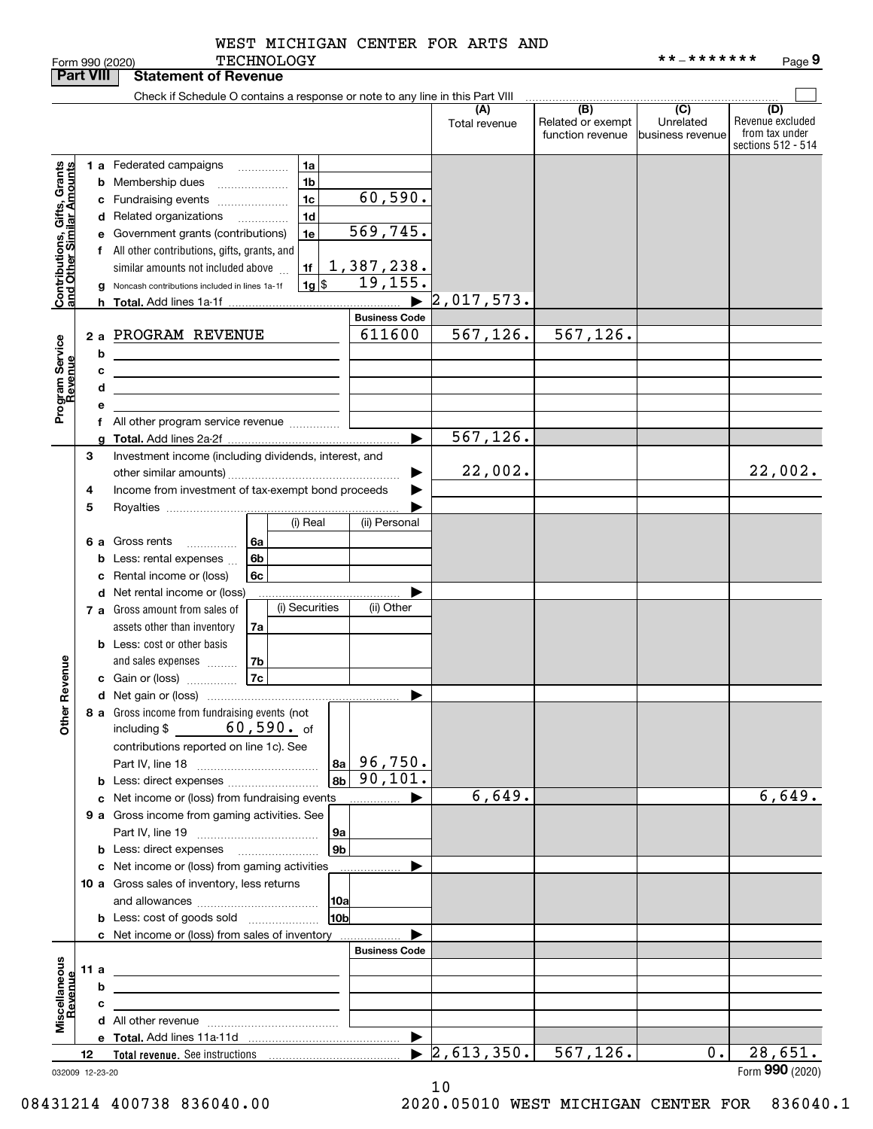|                                                                     | <b>Part VIII</b> |    | <b>Statement of Revenue</b>                                                                                           |                              |                      |                                              |                                                 |                                                                 |
|---------------------------------------------------------------------|------------------|----|-----------------------------------------------------------------------------------------------------------------------|------------------------------|----------------------|----------------------------------------------|-------------------------------------------------|-----------------------------------------------------------------|
|                                                                     |                  |    | Check if Schedule O contains a response or note to any line in this Part VIII                                         |                              |                      |                                              |                                                 |                                                                 |
|                                                                     |                  |    |                                                                                                                       |                              | (A)<br>Total revenue | (B)<br>Related or exempt<br>function revenue | $\overline{C}$<br>Unrelated<br>business revenue | (D)<br>Revenue excluded<br>from tax under<br>sections 512 - 514 |
| Grants<br>Contributions, Gifts, Grants<br>and Other Similar Amounts |                  |    | 1 a Federated campaigns<br>1a<br>$\cdots$<br>1 <sub>b</sub><br><b>b</b> Membership dues                               |                              |                      |                                              |                                                 |                                                                 |
|                                                                     |                  |    | 1 <sub>c</sub><br>c Fundraising events                                                                                | 60,590.                      |                      |                                              |                                                 |                                                                 |
|                                                                     |                  |    | 1 <sub>d</sub><br>d Related organizations<br>.                                                                        |                              |                      |                                              |                                                 |                                                                 |
|                                                                     |                  |    | 1e<br>e Government grants (contributions)                                                                             | 569,745.                     |                      |                                              |                                                 |                                                                 |
|                                                                     |                  |    | f All other contributions, gifts, grants, and                                                                         |                              |                      |                                              |                                                 |                                                                 |
|                                                                     |                  |    | 1f<br>similar amounts not included above                                                                              |                              |                      |                                              |                                                 |                                                                 |
|                                                                     |                  | g  | $ 1g $ \$<br>Noncash contributions included in lines 1a-1f                                                            | $\frac{1,387,238.}{19,155.}$ |                      |                                              |                                                 |                                                                 |
|                                                                     |                  | h. |                                                                                                                       | $\blacktriangleright$        | 2,017,573.           |                                              |                                                 |                                                                 |
|                                                                     |                  |    |                                                                                                                       | <b>Business Code</b>         |                      |                                              |                                                 |                                                                 |
|                                                                     |                  |    | 2 a PROGRAM REVENUE                                                                                                   | 611600                       | 567, 126.            | $\overline{567,126}$ .                       |                                                 |                                                                 |
| Program Service<br>Revenue                                          |                  | b  | <u> 1980 - Johann Barn, mars an t-Amerikaansk politiker (</u>                                                         |                              |                      |                                              |                                                 |                                                                 |
|                                                                     |                  | с  | <u> 1989 - Johann Stein, marwolaethau a bhann an t-Amhainn an t-Amhainn an t-Amhainn an t-Amhainn an t-Amhainn an</u> |                              |                      |                                              |                                                 |                                                                 |
|                                                                     |                  | d  | <u> 1989 - Johann Stein, mars an deus Amerikaansk kommunister (</u>                                                   |                              |                      |                                              |                                                 |                                                                 |
|                                                                     |                  | е  |                                                                                                                       |                              |                      |                                              |                                                 |                                                                 |
|                                                                     |                  |    | f All other program service revenue                                                                                   |                              |                      |                                              |                                                 |                                                                 |
|                                                                     |                  | a  |                                                                                                                       | ь                            | 567, 126.            |                                              |                                                 |                                                                 |
|                                                                     | 3                |    | Investment income (including dividends, interest, and                                                                 |                              |                      |                                              |                                                 |                                                                 |
|                                                                     |                  |    |                                                                                                                       |                              | 22,002.              |                                              |                                                 | 22,002.                                                         |
|                                                                     | 4                |    | Income from investment of tax-exempt bond proceeds                                                                    |                              |                      |                                              |                                                 |                                                                 |
|                                                                     | 5                |    |                                                                                                                       |                              |                      |                                              |                                                 |                                                                 |
|                                                                     |                  |    | (i) Real                                                                                                              | (ii) Personal                |                      |                                              |                                                 |                                                                 |
|                                                                     |                  |    | 6 a Gross rents<br>6a<br>.                                                                                            |                              |                      |                                              |                                                 |                                                                 |
|                                                                     |                  | b  | 6b<br>Less: rental expenses                                                                                           |                              |                      |                                              |                                                 |                                                                 |
|                                                                     |                  | c  | Rental income or (loss)<br>6c                                                                                         |                              |                      |                                              |                                                 |                                                                 |
|                                                                     |                  |    | d Net rental income or (loss)<br>(i) Securities                                                                       | (ii) Other                   |                      |                                              |                                                 |                                                                 |
|                                                                     |                  |    | 7 a Gross amount from sales of                                                                                        |                              |                      |                                              |                                                 |                                                                 |
|                                                                     |                  |    | assets other than inventory<br>7a                                                                                     |                              |                      |                                              |                                                 |                                                                 |
|                                                                     |                  |    | <b>b</b> Less: cost or other basis<br>  7b<br>and sales expenses                                                      |                              |                      |                                              |                                                 |                                                                 |
| Revenue                                                             |                  |    | 7c<br>c Gain or (loss)                                                                                                |                              |                      |                                              |                                                 |                                                                 |
|                                                                     |                  |    |                                                                                                                       | ▶                            |                      |                                              |                                                 |                                                                 |
|                                                                     |                  |    | 8 a Gross income from fundraising events (not                                                                         |                              |                      |                                              |                                                 |                                                                 |
| Other                                                               |                  |    | $60$ , $590$ . of<br>including $$$                                                                                    |                              |                      |                                              |                                                 |                                                                 |
|                                                                     |                  |    | contributions reported on line 1c). See                                                                               |                              |                      |                                              |                                                 |                                                                 |
|                                                                     |                  |    | 8a                                                                                                                    | 96,750.                      |                      |                                              |                                                 |                                                                 |
|                                                                     |                  |    | 8 <sub>b</sub><br><b>b</b> Less: direct expenses                                                                      | 90,101.                      |                      |                                              |                                                 |                                                                 |
|                                                                     |                  |    | c Net income or (loss) from fundraising events                                                                        | ▶<br>.                       | 6,649.               |                                              |                                                 | 6,649.                                                          |
|                                                                     |                  |    | 9 a Gross income from gaming activities. See                                                                          |                              |                      |                                              |                                                 |                                                                 |
|                                                                     |                  |    | 9а                                                                                                                    |                              |                      |                                              |                                                 |                                                                 |
|                                                                     |                  |    | 9 <sub>b</sub><br><b>b</b> Less: direct expenses <b>manually</b>                                                      |                              |                      |                                              |                                                 |                                                                 |
|                                                                     |                  |    | c Net income or (loss) from gaming activities                                                                         | ▶<br>.                       |                      |                                              |                                                 |                                                                 |
|                                                                     |                  |    | 10 a Gross sales of inventory, less returns                                                                           |                              |                      |                                              |                                                 |                                                                 |
|                                                                     |                  |    | 10a                                                                                                                   |                              |                      |                                              |                                                 |                                                                 |
|                                                                     |                  |    | 10 <sub>b</sub><br><b>b</b> Less: cost of goods sold                                                                  |                              |                      |                                              |                                                 |                                                                 |
|                                                                     |                  |    | c Net income or (loss) from sales of inventory                                                                        | <b>Business Code</b>         |                      |                                              |                                                 |                                                                 |
|                                                                     | 11 a             |    |                                                                                                                       |                              |                      |                                              |                                                 |                                                                 |
|                                                                     |                  | b  | the control of the control of the control of the control of the control of the control of                             |                              |                      |                                              |                                                 |                                                                 |
|                                                                     |                  | с  | <u> 1989 - Johann Barn, amerikansk politiker (</u>                                                                    |                              |                      |                                              |                                                 |                                                                 |
| Miscellaneous<br>Revenue                                            |                  |    |                                                                                                                       |                              |                      |                                              |                                                 |                                                                 |
|                                                                     |                  |    |                                                                                                                       | ▶                            |                      |                                              |                                                 |                                                                 |
|                                                                     | 12               |    |                                                                                                                       |                              | 2,613,350.           | 567, 126.                                    | 0.                                              | 28,651.                                                         |
| 032009 12-23-20                                                     |                  |    |                                                                                                                       |                              |                      |                                              |                                                 | Form 990 (2020)                                                 |

10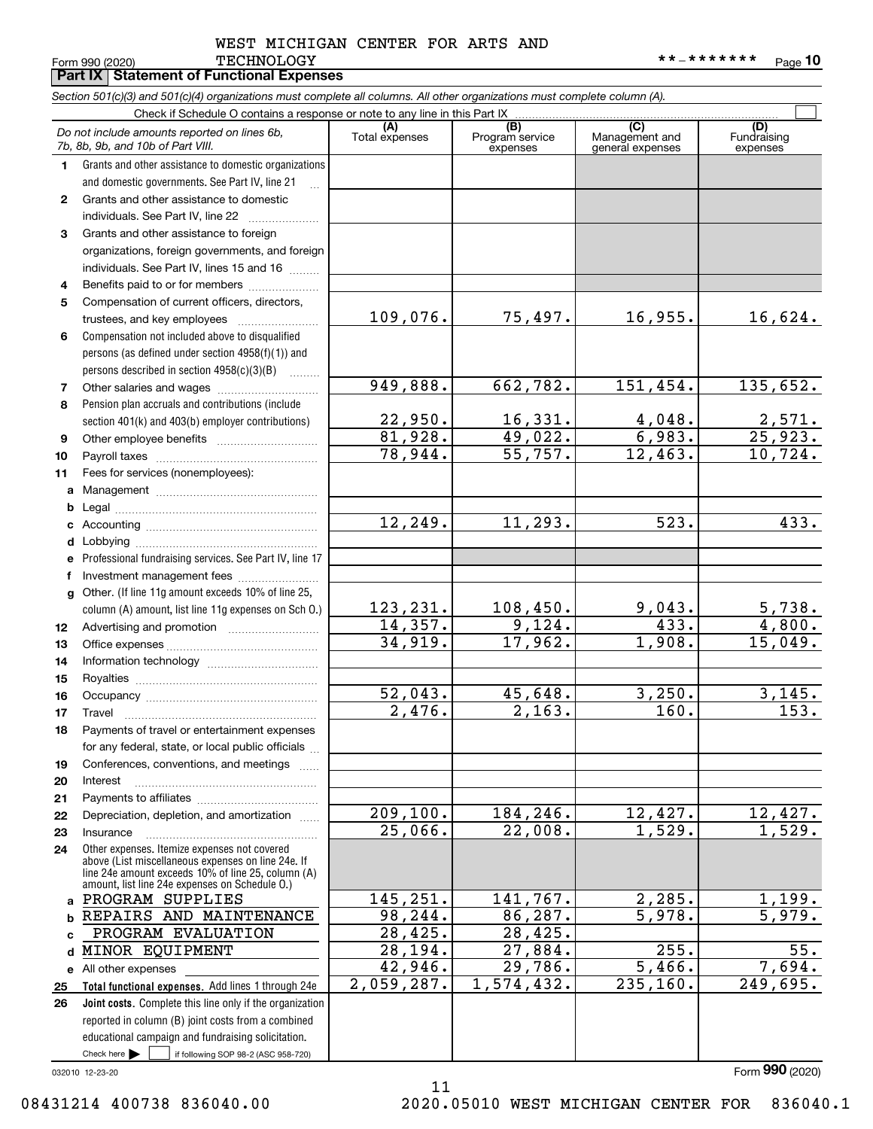#### Form 990 (2020) Page TECHNOLOGY \*\*-\*\*\*\*\*\*\* WEST MICHIGAN CENTER FOR ARTS AND

**Part IX Statement of Functional Expenses**

**10**

|              | Section 501(c)(3) and 501(c)(4) organizations must complete all columns. All other organizations must complete column (A).                                 |                         |                                    |                                           |                                |  |  |  |
|--------------|------------------------------------------------------------------------------------------------------------------------------------------------------------|-------------------------|------------------------------------|-------------------------------------------|--------------------------------|--|--|--|
|              | Check if Schedule O contains a response or note to any line in this Part IX.                                                                               |                         |                                    |                                           |                                |  |  |  |
|              | Do not include amounts reported on lines 6b,<br>7b, 8b, 9b, and 10b of Part VIII.                                                                          | (A)<br>Total expenses   | (B)<br>Program service<br>expenses | (C)<br>Management and<br>general expenses | (D)<br>Fundraising<br>expenses |  |  |  |
| 1            | Grants and other assistance to domestic organizations                                                                                                      |                         |                                    |                                           |                                |  |  |  |
|              | and domestic governments. See Part IV, line 21                                                                                                             |                         |                                    |                                           |                                |  |  |  |
| $\mathbf{2}$ | Grants and other assistance to domestic                                                                                                                    |                         |                                    |                                           |                                |  |  |  |
|              | individuals. See Part IV, line 22                                                                                                                          |                         |                                    |                                           |                                |  |  |  |
| 3            | Grants and other assistance to foreign                                                                                                                     |                         |                                    |                                           |                                |  |  |  |
|              | organizations, foreign governments, and foreign                                                                                                            |                         |                                    |                                           |                                |  |  |  |
|              | individuals. See Part IV, lines 15 and 16                                                                                                                  |                         |                                    |                                           |                                |  |  |  |
| 4            | Benefits paid to or for members                                                                                                                            |                         |                                    |                                           |                                |  |  |  |
| 5            | Compensation of current officers, directors,                                                                                                               |                         |                                    |                                           |                                |  |  |  |
|              | trustees, and key employees                                                                                                                                | 109,076.                | 75,497.                            | 16,955.                                   | 16,624.                        |  |  |  |
| 6            | Compensation not included above to disqualified                                                                                                            |                         |                                    |                                           |                                |  |  |  |
|              | persons (as defined under section 4958(f)(1)) and                                                                                                          |                         |                                    |                                           |                                |  |  |  |
|              | persons described in section 4958(c)(3)(B)<br>.                                                                                                            |                         |                                    |                                           |                                |  |  |  |
| 7            | Other salaries and wages                                                                                                                                   | 949,888.                | 662,782.                           | 151,454.                                  | 135,652.                       |  |  |  |
| 8            | Pension plan accruals and contributions (include                                                                                                           |                         |                                    |                                           |                                |  |  |  |
|              | section 401(k) and 403(b) employer contributions)                                                                                                          | $\frac{22,950}{81,928}$ | 16,331.                            | $\frac{4,048.}{6,983.}$                   | $\frac{2,571}{25,923}$         |  |  |  |
| 9            |                                                                                                                                                            |                         | 49,022.                            |                                           |                                |  |  |  |
| 10           |                                                                                                                                                            | 78,944.                 | 55,757.                            | 12,463.                                   | 10,724.                        |  |  |  |
| 11           | Fees for services (nonemployees):                                                                                                                          |                         |                                    |                                           |                                |  |  |  |
| a            |                                                                                                                                                            |                         |                                    |                                           |                                |  |  |  |
| b            |                                                                                                                                                            |                         |                                    |                                           |                                |  |  |  |
| c            |                                                                                                                                                            | 12, 249.                | 11,293.                            | 523.                                      | 433.                           |  |  |  |
| d            |                                                                                                                                                            |                         |                                    |                                           |                                |  |  |  |
| е            | Professional fundraising services. See Part IV, line 17                                                                                                    |                         |                                    |                                           |                                |  |  |  |
| f            | Investment management fees                                                                                                                                 |                         |                                    |                                           |                                |  |  |  |
| g            | Other. (If line 11g amount exceeds 10% of line 25,                                                                                                         |                         |                                    |                                           |                                |  |  |  |
|              | column (A) amount, list line 11g expenses on Sch O.)                                                                                                       | 123,231.<br>14,357.     | 108,450.<br>9,124.                 | $\frac{9,043.}{433.}$                     | 5,738.                         |  |  |  |
| 12           |                                                                                                                                                            | 34,919.                 | 17,962.                            | 1,908.                                    | 4,800.                         |  |  |  |
| 13           |                                                                                                                                                            |                         |                                    |                                           | 15,049.                        |  |  |  |
| 14           |                                                                                                                                                            |                         |                                    |                                           |                                |  |  |  |
| 15           |                                                                                                                                                            | $\overline{52}$ , 043.  | 45,648.                            | 3,250.                                    | 3,145.                         |  |  |  |
| 16           |                                                                                                                                                            | $\overline{2,476}$ .    | $\overline{2,163}$ .               | $\overline{160}$ .                        | 153.                           |  |  |  |
| 17           | Payments of travel or entertainment expenses                                                                                                               |                         |                                    |                                           |                                |  |  |  |
| 18           |                                                                                                                                                            |                         |                                    |                                           |                                |  |  |  |
|              | for any federal, state, or local public officials                                                                                                          |                         |                                    |                                           |                                |  |  |  |
| 19<br>20     | Conferences, conventions, and meetings<br>Interest                                                                                                         |                         |                                    |                                           |                                |  |  |  |
| 21           |                                                                                                                                                            |                         |                                    |                                           |                                |  |  |  |
| 22           | Depreciation, depletion, and amortization                                                                                                                  | $\overline{209,100}$ .  | 184,246.                           | 12,427.                                   | <u>12,427.</u>                 |  |  |  |
| 23           | Insurance                                                                                                                                                  | 25,066.                 | 22,008.                            | 1,529.                                    | 1,529.                         |  |  |  |
| 24           | Other expenses. Itemize expenses not covered                                                                                                               |                         |                                    |                                           |                                |  |  |  |
|              | above (List miscellaneous expenses on line 24e. If<br>line 24e amount exceeds 10% of line 25, column (A)<br>amount, list line 24e expenses on Schedule O.) |                         |                                    |                                           |                                |  |  |  |
| a            | PROGRAM SUPPLIES                                                                                                                                           | 145,251.                | 141,767.                           | 2,285.                                    | 1,199.                         |  |  |  |
| b            | REPAIRS AND MAINTENANCE                                                                                                                                    | 98, 244.                | 86, 287.                           | $\overline{5,978.}$                       | 5,979.                         |  |  |  |
| <sub>c</sub> | PROGRAM EVALUATION                                                                                                                                         | 28,425.                 | 28,425.                            |                                           |                                |  |  |  |
| d            | MINOR EQUIPMENT                                                                                                                                            | $\overline{28,194}$ .   | 27,884.                            | 255.                                      | $\overline{55}$ .              |  |  |  |
| е            | All other expenses                                                                                                                                         | 42,946.                 | 29,786.                            | $\overline{5,466}$ .                      | 7,694.                         |  |  |  |
| 25           | Total functional expenses. Add lines 1 through 24e                                                                                                         | 2,059,287.              | 1,574,432.                         | 235, 160.                                 | 249,695.                       |  |  |  |
| 26           | Joint costs. Complete this line only if the organization                                                                                                   |                         |                                    |                                           |                                |  |  |  |
|              | reported in column (B) joint costs from a combined                                                                                                         |                         |                                    |                                           |                                |  |  |  |
|              | educational campaign and fundraising solicitation.                                                                                                         |                         |                                    |                                           |                                |  |  |  |
|              | Check here $\blacktriangleright$<br>if following SOP 98-2 (ASC 958-720)                                                                                    |                         |                                    |                                           |                                |  |  |  |

11

032010 12-23-20

08431214 400738 836040.00 2020.05010 WEST MICHIGAN CENTER FOR 836040.1

Form (2020) **990**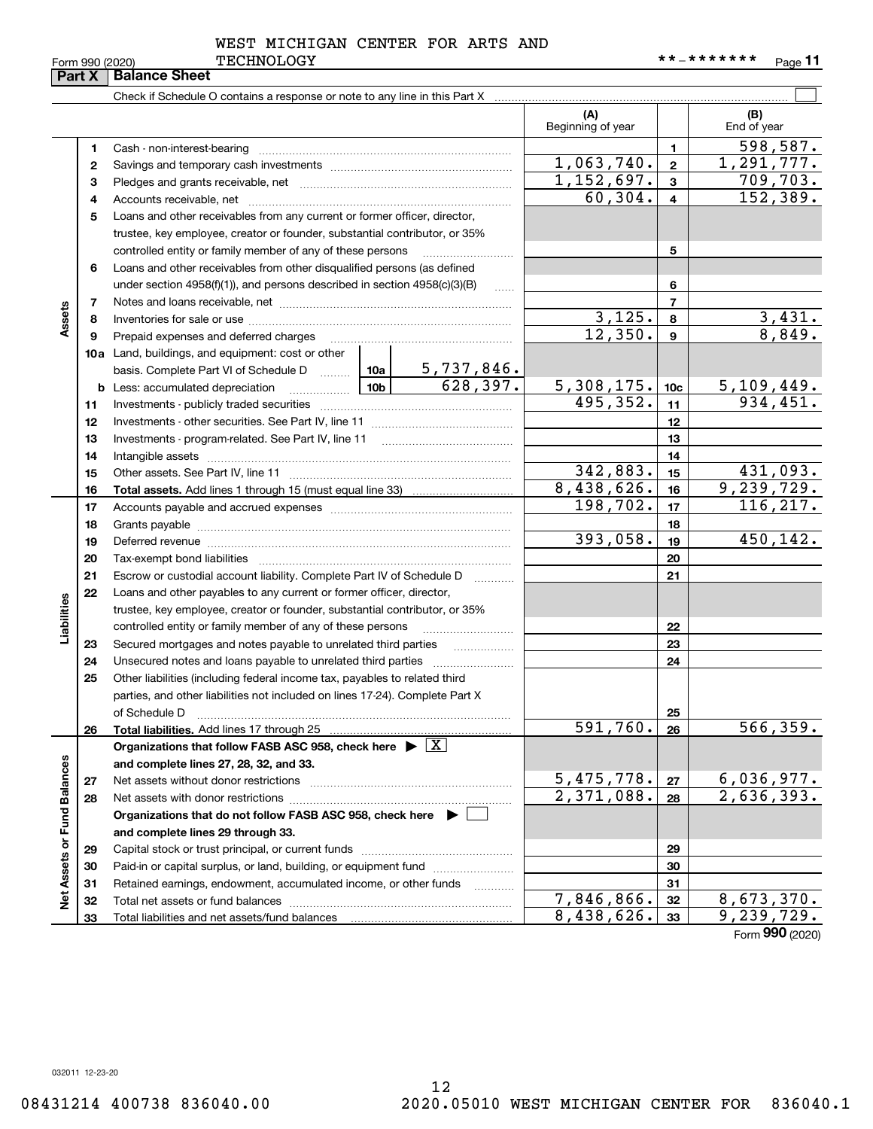|  | orm 990 (2020) |  |
|--|----------------|--|

#### WEST MICHIGAN CENTER FOR ARTS AND

|                             | Part X       | <b>Balance Sheet</b>                                                                                            |                               |                          |                  |                               |
|-----------------------------|--------------|-----------------------------------------------------------------------------------------------------------------|-------------------------------|--------------------------|------------------|-------------------------------|
|                             |              |                                                                                                                 |                               |                          |                  |                               |
|                             |              |                                                                                                                 |                               | (A)<br>Beginning of year |                  | (B)<br>End of year            |
|                             | 1            | Cash - non-interest-bearing                                                                                     |                               |                          | 1                | 598,587.                      |
|                             | $\mathbf{2}$ |                                                                                                                 | 1,063,740.                    | $\mathbf{2}$             | 1, 291, 777.     |                               |
|                             | з            |                                                                                                                 |                               | 1,152,697.               | $\mathbf{3}$     | 709, 703.                     |
|                             | 4            |                                                                                                                 |                               | 60, 304.                 | $\overline{4}$   | 152, 389.                     |
|                             | 5            | Loans and other receivables from any current or former officer, director,                                       |                               |                          |                  |                               |
|                             |              | trustee, key employee, creator or founder, substantial contributor, or 35%                                      |                               |                          |                  |                               |
|                             |              | controlled entity or family member of any of these persons                                                      |                               |                          | 5                |                               |
|                             | 6            | Loans and other receivables from other disqualified persons (as defined                                         |                               |                          |                  |                               |
|                             |              | under section $4958(f)(1)$ , and persons described in section $4958(c)(3)(B)$                                   | $\ldots$                      |                          | 6                |                               |
|                             | 7            |                                                                                                                 |                               |                          | $\overline{7}$   |                               |
| Assets                      | 8            |                                                                                                                 |                               | 3,125.                   | 8                | 3,431.                        |
|                             | 9            | Prepaid expenses and deferred charges                                                                           |                               | 12,350.                  | $\boldsymbol{9}$ | 8,849.                        |
|                             |              | <b>10a</b> Land, buildings, and equipment: cost or other                                                        |                               |                          |                  |                               |
|                             |              | basis. Complete Part VI of Schedule D  10a                                                                      | $\frac{5,737,846.}{628,397.}$ |                          |                  |                               |
|                             |              | $\frac{10b}{10b}$<br><b>b</b> Less: accumulated depreciation                                                    |                               | 5,308,175.               | 10 <sub>c</sub>  | $\frac{5,109,449.}{934,451.}$ |
|                             | 11           |                                                                                                                 |                               | 495, 352.                | 11               |                               |
|                             | 12           |                                                                                                                 |                               |                          | 12               |                               |
|                             | 13           |                                                                                                                 |                               |                          | 13               |                               |
|                             | 14           |                                                                                                                 |                               |                          | 14               |                               |
|                             | 15           |                                                                                                                 |                               | 342,883.                 | 15               | 431,093.                      |
|                             | 16           |                                                                                                                 |                               | 8,438,626.               | 16               | 9,239,729.                    |
|                             | 17           |                                                                                                                 |                               | 198, 702.                | 17               | 116, 217.                     |
|                             | 18           |                                                                                                                 |                               |                          | 18               |                               |
|                             | 19           | Deferred revenue manual contracts and contracts are all the manual contracts and contracts are the contracts of |                               | 393,058.                 | 19               | 450,142.                      |
|                             | 20           |                                                                                                                 |                               |                          | 20               |                               |
|                             | 21           | Escrow or custodial account liability. Complete Part IV of Schedule D                                           | 1.1.1.1.1.1.1.1.1             |                          | 21               |                               |
|                             | 22           | Loans and other payables to any current or former officer, director,                                            |                               |                          |                  |                               |
|                             |              | trustee, key employee, creator or founder, substantial contributor, or 35%                                      |                               |                          |                  |                               |
| Liabilities                 |              | controlled entity or family member of any of these persons                                                      |                               |                          | 22               |                               |
|                             | 23           | Secured mortgages and notes payable to unrelated third parties                                                  |                               |                          | 23               |                               |
|                             | 24           |                                                                                                                 |                               |                          | 24               |                               |
|                             | 25           | Other liabilities (including federal income tax, payables to related third                                      |                               |                          |                  |                               |
|                             |              | parties, and other liabilities not included on lines 17-24). Complete Part X                                    |                               |                          |                  |                               |
|                             |              | of Schedule D                                                                                                   |                               | 591,760.                 | 25               | 566, 359.                     |
|                             | 26           | Total liabilities. Add lines 17 through 25                                                                      |                               |                          | 26               |                               |
|                             |              | Organizations that follow FASB ASC 958, check here $\blacktriangleright \boxed{X}$                              |                               |                          |                  |                               |
|                             |              | and complete lines 27, 28, 32, and 33.                                                                          |                               | 5,475,778.               | 27               | 6,036,977.                    |
|                             | 27<br>28     |                                                                                                                 |                               | $\overline{2,371,088}$ . | 28               | 2,636,393.                    |
|                             |              | Organizations that do not follow FASB ASC 958, check here $\blacktriangleright$                                 |                               |                          |                  |                               |
|                             |              | and complete lines 29 through 33.                                                                               |                               |                          |                  |                               |
|                             | 29           |                                                                                                                 |                               |                          | 29               |                               |
|                             | 30           | Paid-in or capital surplus, or land, building, or equipment fund                                                |                               |                          | 30               |                               |
|                             | 31           | Retained earnings, endowment, accumulated income, or other funds                                                |                               |                          | 31               |                               |
| Net Assets or Fund Balances | 32           |                                                                                                                 | .                             | 7,846,866.               | 32               | 8,673,370.                    |
|                             | 33           |                                                                                                                 |                               | 8,438,626.               | 33               | 9, 239, 729.                  |
|                             |              |                                                                                                                 |                               |                          |                  |                               |

Form (2020) **990**

032011 12-23-20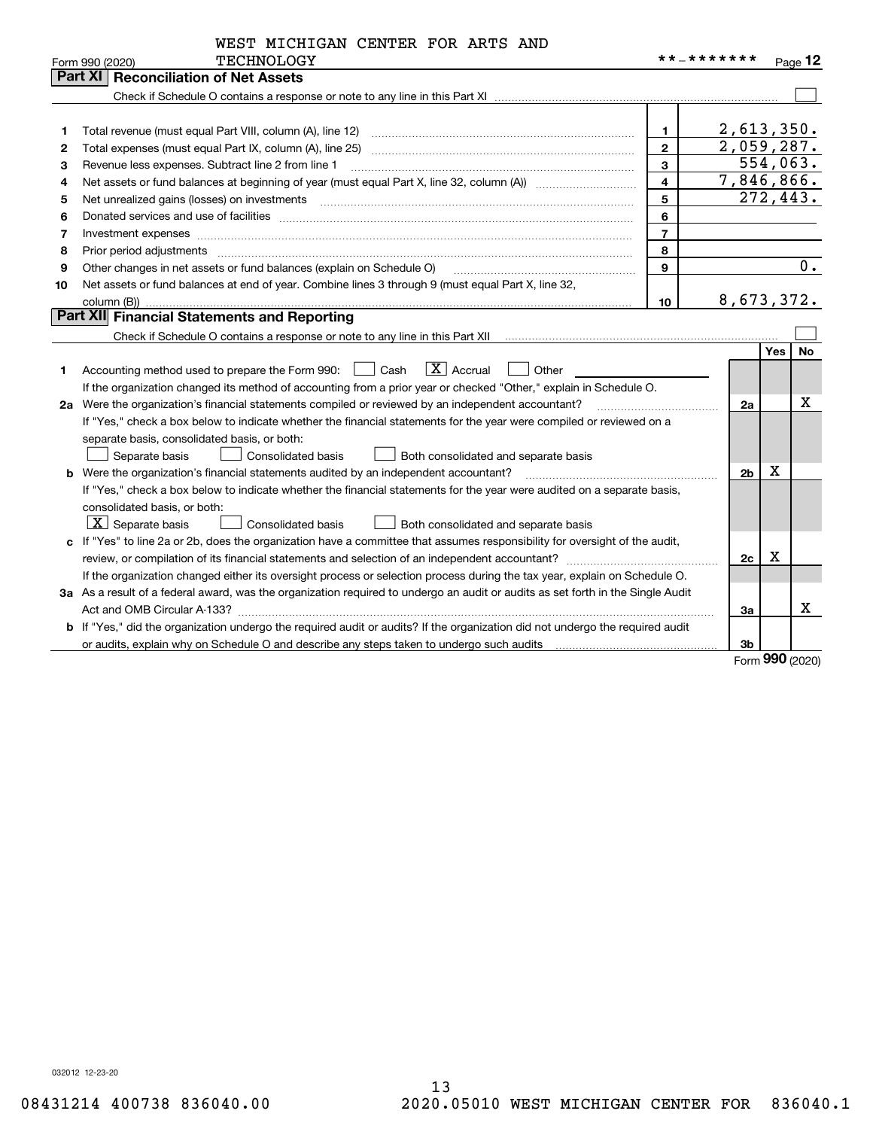|  | WEST MICHIGAN CENTER FOR ARTS AND |  |  |  |  |  |
|--|-----------------------------------|--|--|--|--|--|
|--|-----------------------------------|--|--|--|--|--|

|    | <b>TECHNOLOGY</b><br>Form 990 (2020)                                                                                                 | * * _ * * * * * * *     |                | Page $12$        |
|----|--------------------------------------------------------------------------------------------------------------------------------------|-------------------------|----------------|------------------|
|    | Part XI   Reconciliation of Net Assets                                                                                               |                         |                |                  |
|    |                                                                                                                                      |                         |                |                  |
|    |                                                                                                                                      |                         |                |                  |
| 1  |                                                                                                                                      | 1.                      |                | 2,613,350.       |
| 2  |                                                                                                                                      | $\overline{2}$          |                | 2,059,287.       |
| З  | Revenue less expenses. Subtract line 2 from line 1                                                                                   | 3                       |                | 554,063.         |
| 4  | Net assets or fund balances at beginning of year (must equal Part X, line 32, column (A)) <i></i>                                    | $\overline{\mathbf{4}}$ |                | 7,846,866.       |
| 5  |                                                                                                                                      | 5                       |                | 272,443.         |
| 6  |                                                                                                                                      | 6                       |                |                  |
| 7  |                                                                                                                                      | $\overline{7}$          |                |                  |
| 8  |                                                                                                                                      | 8                       |                |                  |
| 9  | Other changes in net assets or fund balances (explain on Schedule O)                                                                 | 9                       |                | $\overline{0}$ . |
| 10 | Net assets or fund balances at end of year. Combine lines 3 through 9 (must equal Part X, line 32,                                   |                         |                |                  |
|    |                                                                                                                                      | 10                      |                | 8,673,372.       |
|    | Part XII Financial Statements and Reporting                                                                                          |                         |                |                  |
|    |                                                                                                                                      |                         |                |                  |
|    |                                                                                                                                      |                         |                | <b>No</b><br>Yes |
| 1  | $\boxed{\mathbf{X}}$ Accrual<br>Accounting method used to prepare the Form 990: [130] Cash<br>Other                                  |                         |                |                  |
|    | If the organization changed its method of accounting from a prior year or checked "Other," explain in Schedule O.                    |                         |                |                  |
|    | 2a Were the organization's financial statements compiled or reviewed by an independent accountant?                                   |                         | 2a             | х                |
|    | If "Yes," check a box below to indicate whether the financial statements for the year were compiled or reviewed on a                 |                         |                |                  |
|    | separate basis, consolidated basis, or both:                                                                                         |                         |                |                  |
|    | <b>Consolidated basis</b><br>Separate basis<br>Both consolidated and separate basis                                                  |                         |                |                  |
|    | <b>b</b> Were the organization's financial statements audited by an independent accountant?                                          |                         | 2 <sub>b</sub> | x                |
|    | If "Yes," check a box below to indicate whether the financial statements for the year were audited on a separate basis,              |                         |                |                  |
|    | consolidated basis, or both:                                                                                                         |                         |                |                  |
|    | $X$ Separate basis<br><b>Consolidated basis</b><br>Both consolidated and separate basis                                              |                         |                |                  |
|    | c If "Yes" to line 2a or 2b, does the organization have a committee that assumes responsibility for oversight of the audit,          |                         |                |                  |
|    |                                                                                                                                      |                         | 2c             | x                |
|    | If the organization changed either its oversight process or selection process during the tax year, explain on Schedule O.            |                         |                |                  |
|    | 3a As a result of a federal award, was the organization required to undergo an audit or audits as set forth in the Single Audit      |                         |                |                  |
|    |                                                                                                                                      |                         | За             | x                |
|    | <b>b</b> If "Yes," did the organization undergo the required audit or audits? If the organization did not undergo the required audit |                         |                |                  |
|    |                                                                                                                                      |                         | 3 <sub>b</sub> |                  |

Form (2020) **990**

032012 12-23-20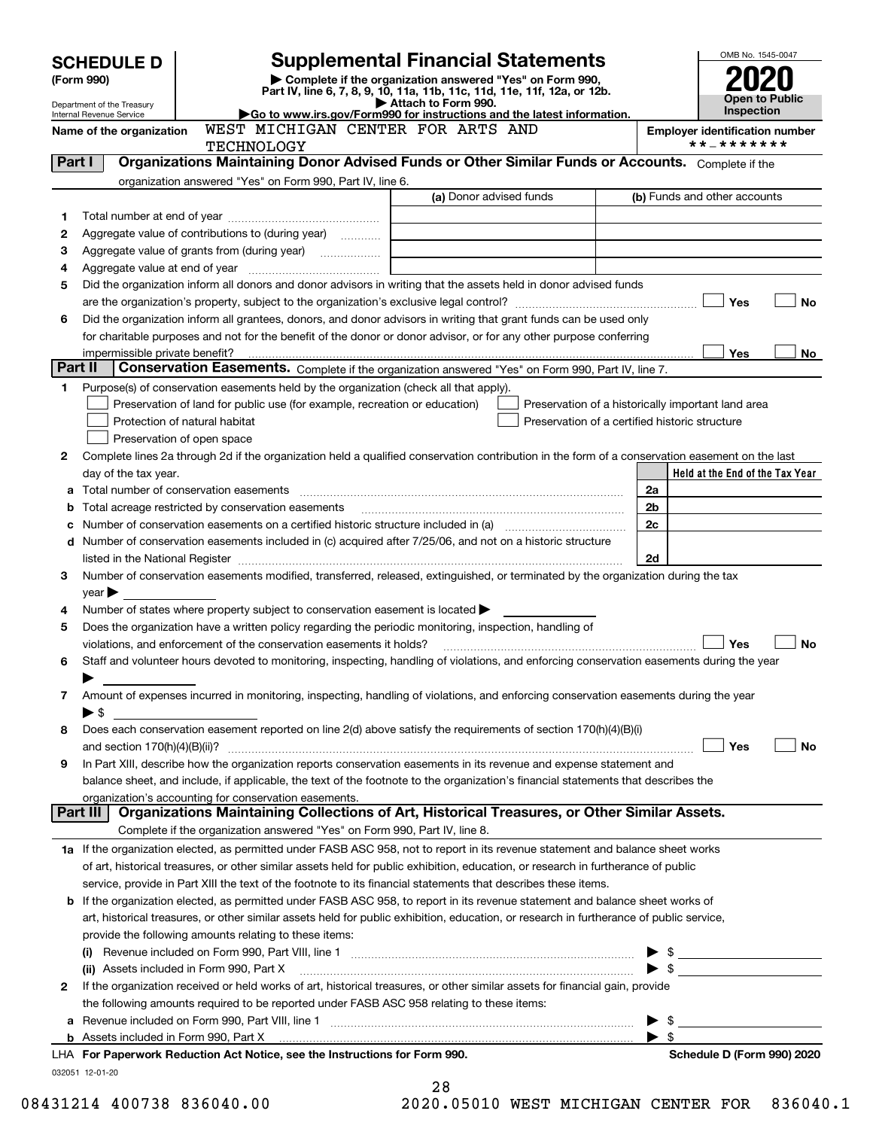|              |                                                               |                                                                                                   | <b>Supplemental Financial Statements</b>                                                                                                                                                                                                                                                                                                                          |    | OMB No. 1545-0047               |
|--------------|---------------------------------------------------------------|---------------------------------------------------------------------------------------------------|-------------------------------------------------------------------------------------------------------------------------------------------------------------------------------------------------------------------------------------------------------------------------------------------------------------------------------------------------------------------|----|---------------------------------|
|              | <b>SCHEDULE D</b>                                             |                                                                                                   |                                                                                                                                                                                                                                                                                                                                                                   |    |                                 |
|              | (Form 990)                                                    |                                                                                                   |                                                                                                                                                                                                                                                                                                                                                                   |    |                                 |
|              | Department of the Treasury<br><b>Internal Revenue Service</b> |                                                                                                   | Open to Public<br>Inspection                                                                                                                                                                                                                                                                                                                                      |    |                                 |
|              | Name of the organization                                      |                                                                                                   | <b>Employer identification number</b>                                                                                                                                                                                                                                                                                                                             |    |                                 |
|              |                                                               | <b>TECHNOLOGY</b>                                                                                 |                                                                                                                                                                                                                                                                                                                                                                   |    | **_*******                      |
| Part I       |                                                               |                                                                                                   | Organizations Maintaining Donor Advised Funds or Other Similar Funds or Accounts. Complete if the                                                                                                                                                                                                                                                                 |    |                                 |
|              |                                                               | organization answered "Yes" on Form 990, Part IV, line 6.                                         | (a) Donor advised funds                                                                                                                                                                                                                                                                                                                                           |    | (b) Funds and other accounts    |
|              |                                                               |                                                                                                   |                                                                                                                                                                                                                                                                                                                                                                   |    |                                 |
| 1<br>2       |                                                               | Aggregate value of contributions to (during year)                                                 |                                                                                                                                                                                                                                                                                                                                                                   |    |                                 |
| 3            |                                                               |                                                                                                   |                                                                                                                                                                                                                                                                                                                                                                   |    |                                 |
| 4            |                                                               |                                                                                                   |                                                                                                                                                                                                                                                                                                                                                                   |    |                                 |
| 5            |                                                               |                                                                                                   | Did the organization inform all donors and donor advisors in writing that the assets held in donor advised funds                                                                                                                                                                                                                                                  |    |                                 |
|              |                                                               |                                                                                                   |                                                                                                                                                                                                                                                                                                                                                                   |    | Yes<br>No                       |
| 6            |                                                               |                                                                                                   | Did the organization inform all grantees, donors, and donor advisors in writing that grant funds can be used only                                                                                                                                                                                                                                                 |    |                                 |
|              |                                                               |                                                                                                   | for charitable purposes and not for the benefit of the donor or donor advisor, or for any other purpose conferring                                                                                                                                                                                                                                                |    |                                 |
|              |                                                               |                                                                                                   |                                                                                                                                                                                                                                                                                                                                                                   |    | Yes<br>No.                      |
| Part II      |                                                               |                                                                                                   | Conservation Easements. Complete if the organization answered "Yes" on Form 990, Part IV, line 7.                                                                                                                                                                                                                                                                 |    |                                 |
| 1            |                                                               | Purpose(s) of conservation easements held by the organization (check all that apply).             |                                                                                                                                                                                                                                                                                                                                                                   |    |                                 |
|              |                                                               | Preservation of land for public use (for example, recreation or education)                        | Preservation of a historically important land area                                                                                                                                                                                                                                                                                                                |    |                                 |
|              | Protection of natural habitat                                 |                                                                                                   | Preservation of a certified historic structure                                                                                                                                                                                                                                                                                                                    |    |                                 |
|              | Preservation of open space                                    |                                                                                                   |                                                                                                                                                                                                                                                                                                                                                                   |    |                                 |
| $\mathbf{2}$ |                                                               |                                                                                                   | Complete lines 2a through 2d if the organization held a qualified conservation contribution in the form of a conservation easement on the last                                                                                                                                                                                                                    |    |                                 |
|              | day of the tax year.                                          |                                                                                                   |                                                                                                                                                                                                                                                                                                                                                                   |    | Held at the End of the Tax Year |
| а            |                                                               |                                                                                                   |                                                                                                                                                                                                                                                                                                                                                                   | 2a |                                 |
| b            |                                                               | Total acreage restricted by conservation easements                                                |                                                                                                                                                                                                                                                                                                                                                                   | 2b |                                 |
| с            |                                                               |                                                                                                   | Number of conservation easements on a certified historic structure included in (a) manufacture of conservation                                                                                                                                                                                                                                                    | 2c |                                 |
|              |                                                               |                                                                                                   | d Number of conservation easements included in (c) acquired after 7/25/06, and not on a historic structure                                                                                                                                                                                                                                                        |    |                                 |
| 3            |                                                               |                                                                                                   | listed in the National Register [11, 1200] [12] The National Register [11, 1200] [12] The National Register [11, 1200] [12] The National Register [11, 1200] [12] The National Register [11, 1200] [12] The National Register<br>Number of conservation easements modified, transferred, released, extinguished, or terminated by the organization during the tax | 2d |                                 |
|              | $year \blacktriangleright$                                    |                                                                                                   |                                                                                                                                                                                                                                                                                                                                                                   |    |                                 |
| 4            |                                                               | Number of states where property subject to conservation easement is located $\blacktriangleright$ |                                                                                                                                                                                                                                                                                                                                                                   |    |                                 |
| 5            |                                                               |                                                                                                   | Does the organization have a written policy regarding the periodic monitoring, inspection, handling of                                                                                                                                                                                                                                                            |    |                                 |
|              |                                                               | violations, and enforcement of the conservation easements it holds?                               |                                                                                                                                                                                                                                                                                                                                                                   |    | Yes<br><b>No</b>                |
| 6            |                                                               |                                                                                                   | Staff and volunteer hours devoted to monitoring, inspecting, handling of violations, and enforcing conservation easements during the year                                                                                                                                                                                                                         |    |                                 |
|              |                                                               |                                                                                                   |                                                                                                                                                                                                                                                                                                                                                                   |    |                                 |
| 7            |                                                               |                                                                                                   | Amount of expenses incurred in monitoring, inspecting, handling of violations, and enforcing conservation easements during the year                                                                                                                                                                                                                               |    |                                 |
|              | $\blacktriangleright$ \$                                      |                                                                                                   |                                                                                                                                                                                                                                                                                                                                                                   |    |                                 |
| 8            |                                                               |                                                                                                   | Does each conservation easement reported on line 2(d) above satisfy the requirements of section 170(h)(4)(B)(i)                                                                                                                                                                                                                                                   |    |                                 |
|              |                                                               |                                                                                                   |                                                                                                                                                                                                                                                                                                                                                                   |    | Yes<br>No                       |
| 9            |                                                               |                                                                                                   | In Part XIII, describe how the organization reports conservation easements in its revenue and expense statement and                                                                                                                                                                                                                                               |    |                                 |
|              |                                                               |                                                                                                   | balance sheet, and include, if applicable, the text of the footnote to the organization's financial statements that describes the                                                                                                                                                                                                                                 |    |                                 |
|              |                                                               | organization's accounting for conservation easements.                                             |                                                                                                                                                                                                                                                                                                                                                                   |    |                                 |
|              | Part III                                                      |                                                                                                   | Organizations Maintaining Collections of Art, Historical Treasures, or Other Similar Assets.                                                                                                                                                                                                                                                                      |    |                                 |
|              |                                                               | Complete if the organization answered "Yes" on Form 990, Part IV, line 8.                         |                                                                                                                                                                                                                                                                                                                                                                   |    |                                 |
|              |                                                               |                                                                                                   | 1a If the organization elected, as permitted under FASB ASC 958, not to report in its revenue statement and balance sheet works                                                                                                                                                                                                                                   |    |                                 |
|              |                                                               |                                                                                                   | of art, historical treasures, or other similar assets held for public exhibition, education, or research in furtherance of public                                                                                                                                                                                                                                 |    |                                 |
|              |                                                               |                                                                                                   | service, provide in Part XIII the text of the footnote to its financial statements that describes these items.                                                                                                                                                                                                                                                    |    |                                 |
| b            |                                                               |                                                                                                   | If the organization elected, as permitted under FASB ASC 958, to report in its revenue statement and balance sheet works of                                                                                                                                                                                                                                       |    |                                 |
|              |                                                               | provide the following amounts relating to these items:                                            | art, historical treasures, or other similar assets held for public exhibition, education, or research in furtherance of public service,                                                                                                                                                                                                                           |    |                                 |
|              |                                                               |                                                                                                   |                                                                                                                                                                                                                                                                                                                                                                   |    |                                 |
|              |                                                               | (ii) Assets included in Form 990, Part X                                                          |                                                                                                                                                                                                                                                                                                                                                                   |    |                                 |
| 2            |                                                               |                                                                                                   | If the organization received or held works of art, historical treasures, or other similar assets for financial gain, provide                                                                                                                                                                                                                                      |    |                                 |
|              |                                                               | the following amounts required to be reported under FASB ASC 958 relating to these items:         |                                                                                                                                                                                                                                                                                                                                                                   |    |                                 |
| а            |                                                               |                                                                                                   |                                                                                                                                                                                                                                                                                                                                                                   |    | \$                              |
|              |                                                               |                                                                                                   |                                                                                                                                                                                                                                                                                                                                                                   |    | - \$                            |
|              |                                                               | LHA For Paperwork Reduction Act Notice, see the Instructions for Form 990.                        |                                                                                                                                                                                                                                                                                                                                                                   |    | Schedule D (Form 990) 2020      |
|              | 032051 12-01-20                                               |                                                                                                   |                                                                                                                                                                                                                                                                                                                                                                   |    |                                 |

|     | 28 |  |      |  |
|-----|----|--|------|--|
| ∩∩∩ |    |  | ハヒハイ |  |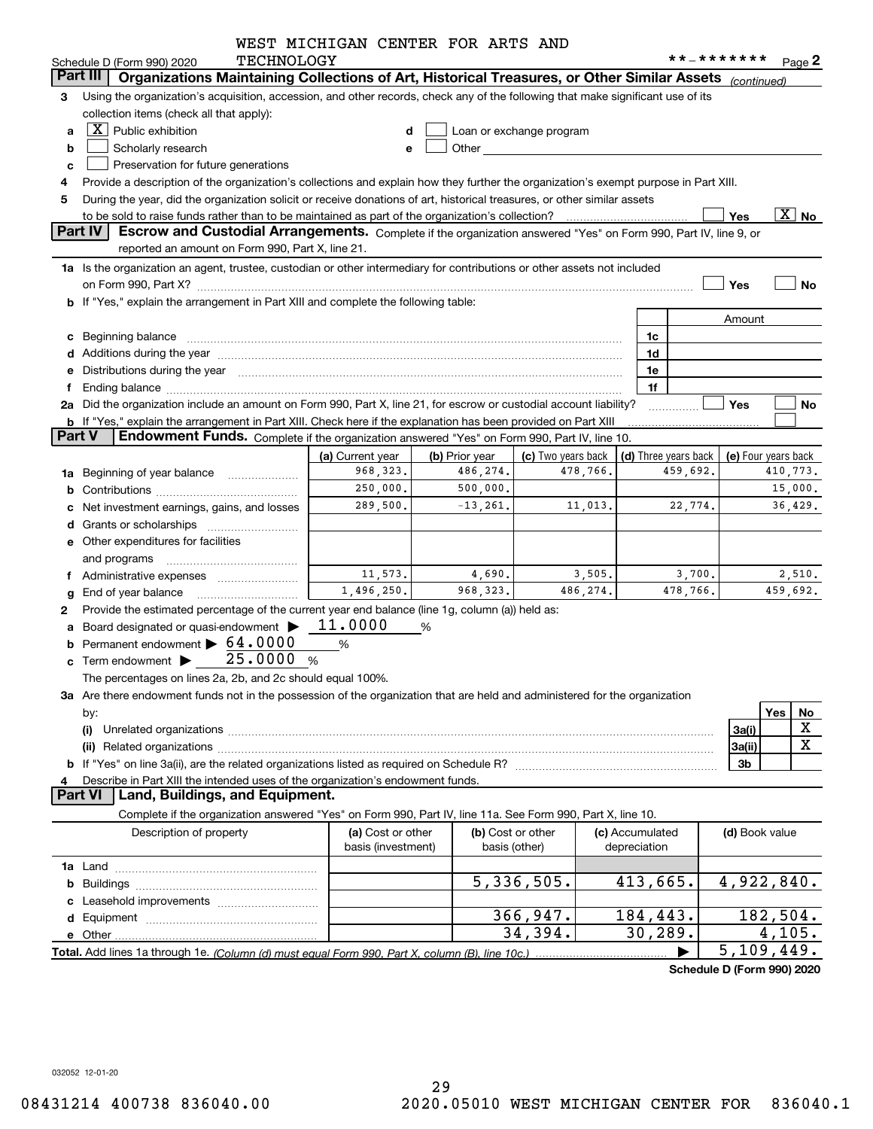|               |                                                                                                                                                                                                                                | WEST MICHIGAN CENTER FOR ARTS AND |                |                                                                                                                                                                                                                                |                 |                      |                            |                       |
|---------------|--------------------------------------------------------------------------------------------------------------------------------------------------------------------------------------------------------------------------------|-----------------------------------|----------------|--------------------------------------------------------------------------------------------------------------------------------------------------------------------------------------------------------------------------------|-----------------|----------------------|----------------------------|-----------------------|
|               | <b>TECHNOLOGY</b><br>Schedule D (Form 990) 2020                                                                                                                                                                                |                                   |                |                                                                                                                                                                                                                                |                 |                      | **_*******                 | Page 2                |
| Part III      | Organizations Maintaining Collections of Art, Historical Treasures, or Other Similar Assets (continued)                                                                                                                        |                                   |                |                                                                                                                                                                                                                                |                 |                      |                            |                       |
| З             | Using the organization's acquisition, accession, and other records, check any of the following that make significant use of its                                                                                                |                                   |                |                                                                                                                                                                                                                                |                 |                      |                            |                       |
|               | collection items (check all that apply):                                                                                                                                                                                       |                                   |                |                                                                                                                                                                                                                                |                 |                      |                            |                       |
| a             | $\lfloor x \rfloor$ Public exhibition                                                                                                                                                                                          | d                                 |                | Loan or exchange program                                                                                                                                                                                                       |                 |                      |                            |                       |
| b             | Scholarly research                                                                                                                                                                                                             | е                                 |                | Other the contract of the contract of the contract of the contract of the contract of the contract of the contract of the contract of the contract of the contract of the contract of the contract of the contract of the cont |                 |                      |                            |                       |
| c             | Preservation for future generations                                                                                                                                                                                            |                                   |                |                                                                                                                                                                                                                                |                 |                      |                            |                       |
| 4             | Provide a description of the organization's collections and explain how they further the organization's exempt purpose in Part XIII.                                                                                           |                                   |                |                                                                                                                                                                                                                                |                 |                      |                            |                       |
| 5             | During the year, did the organization solicit or receive donations of art, historical treasures, or other similar assets                                                                                                       |                                   |                |                                                                                                                                                                                                                                |                 |                      |                            |                       |
|               | to be sold to raise funds rather than to be maintained as part of the organization's collection?                                                                                                                               |                                   |                |                                                                                                                                                                                                                                |                 |                      | Yes                        | $\boxed{\text{X}}$ No |
|               | Part IV<br>Escrow and Custodial Arrangements. Complete if the organization answered "Yes" on Form 990, Part IV, line 9, or                                                                                                     |                                   |                |                                                                                                                                                                                                                                |                 |                      |                            |                       |
|               | reported an amount on Form 990, Part X, line 21.                                                                                                                                                                               |                                   |                |                                                                                                                                                                                                                                |                 |                      |                            |                       |
|               | 1a Is the organization an agent, trustee, custodian or other intermediary for contributions or other assets not included                                                                                                       |                                   |                |                                                                                                                                                                                                                                |                 |                      |                            |                       |
|               |                                                                                                                                                                                                                                |                                   |                |                                                                                                                                                                                                                                |                 |                      | Yes                        | No                    |
|               | b If "Yes," explain the arrangement in Part XIII and complete the following table:                                                                                                                                             |                                   |                |                                                                                                                                                                                                                                |                 |                      |                            |                       |
|               |                                                                                                                                                                                                                                |                                   |                |                                                                                                                                                                                                                                |                 |                      | Amount                     |                       |
|               | c Beginning balance measurements and the contract of the contract of the contract of the contract of the contract of the contract of the contract of the contract of the contract of the contract of the contract of the contr |                                   |                |                                                                                                                                                                                                                                |                 | 1c                   |                            |                       |
|               |                                                                                                                                                                                                                                |                                   |                |                                                                                                                                                                                                                                |                 | 1d                   |                            |                       |
|               | e Distributions during the year measurements are also according to the year and the year measurement of the year measurement of the state of the state of the state of the state of the state of the state of the state of the |                                   |                |                                                                                                                                                                                                                                |                 | 1e                   |                            |                       |
|               | Ending balance manufactured and contract the contract of the contract of the contract of the contract of the contract of the contract of the contract of the contract of the contract of the contract of the contract of the c |                                   |                |                                                                                                                                                                                                                                |                 | 1f                   |                            |                       |
|               | 2a Did the organization include an amount on Form 990, Part X, line 21, for escrow or custodial account liability?                                                                                                             |                                   |                |                                                                                                                                                                                                                                |                 |                      | Yes                        | No                    |
| <b>Part V</b> | <b>b</b> If "Yes," explain the arrangement in Part XIII. Check here if the explanation has been provided on Part XIII<br>Endowment Funds. Complete if the organization answered "Yes" on Form 990, Part IV, line 10.           |                                   |                |                                                                                                                                                                                                                                |                 |                      |                            |                       |
|               |                                                                                                                                                                                                                                | (a) Current year                  | (b) Prior year | (c) Two years back                                                                                                                                                                                                             |                 | (d) Three years back | (e) Four years back        |                       |
| 1a            | Beginning of year balance                                                                                                                                                                                                      | 968, 323.                         | 486,274.       | 478,766.                                                                                                                                                                                                                       |                 | 459,692.             |                            | 410,773.              |
|               |                                                                                                                                                                                                                                | 250,000.                          | 500,000.       |                                                                                                                                                                                                                                |                 |                      |                            | 15,000.               |
|               | Net investment earnings, gains, and losses                                                                                                                                                                                     | 289,500.                          | $-13, 261.$    | 11,013.                                                                                                                                                                                                                        |                 | 22,774.              |                            | 36,429.               |
|               | <b>d</b> Grants or scholarships                                                                                                                                                                                                |                                   |                |                                                                                                                                                                                                                                |                 |                      |                            |                       |
|               | e Other expenditures for facilities                                                                                                                                                                                            |                                   |                |                                                                                                                                                                                                                                |                 |                      |                            |                       |
|               | and programs                                                                                                                                                                                                                   |                                   |                |                                                                                                                                                                                                                                |                 |                      |                            |                       |
|               | Administrative expenses                                                                                                                                                                                                        | 11,573.                           | 4,690.         | 3,505.                                                                                                                                                                                                                         |                 | 3,700.               |                            | 2,510.                |
|               | End of year balance                                                                                                                                                                                                            | 1,496,250.                        | 968, 323.      | 486,274.                                                                                                                                                                                                                       |                 | 478,766.             |                            | 459,692.              |
| 2             | Provide the estimated percentage of the current year end balance (line 1g, column (a)) held as:                                                                                                                                |                                   |                |                                                                                                                                                                                                                                |                 |                      |                            |                       |
|               | Board designated or quasi-endowment >                                                                                                                                                                                          | 11.0000                           | %              |                                                                                                                                                                                                                                |                 |                      |                            |                       |
|               | Permanent endowment > 64.0000                                                                                                                                                                                                  | %                                 |                |                                                                                                                                                                                                                                |                 |                      |                            |                       |
|               | c Term endowment $\blacktriangleright$ 25.0000                                                                                                                                                                                 | %                                 |                |                                                                                                                                                                                                                                |                 |                      |                            |                       |
|               | The percentages on lines 2a, 2b, and 2c should equal 100%.                                                                                                                                                                     |                                   |                |                                                                                                                                                                                                                                |                 |                      |                            |                       |
|               | 3a Are there endowment funds not in the possession of the organization that are held and administered for the organization                                                                                                     |                                   |                |                                                                                                                                                                                                                                |                 |                      |                            |                       |
|               | by:                                                                                                                                                                                                                            |                                   |                |                                                                                                                                                                                                                                |                 |                      |                            | Yes<br>No             |
|               | (i)                                                                                                                                                                                                                            |                                   |                |                                                                                                                                                                                                                                |                 |                      | 3a(i)                      | X                     |
|               | (ii)                                                                                                                                                                                                                           |                                   |                |                                                                                                                                                                                                                                |                 |                      | 3a(ii)                     | X                     |
|               |                                                                                                                                                                                                                                |                                   |                |                                                                                                                                                                                                                                |                 |                      | 3b                         |                       |
|               | Describe in Part XIII the intended uses of the organization's endowment funds.                                                                                                                                                 |                                   |                |                                                                                                                                                                                                                                |                 |                      |                            |                       |
|               | Land, Buildings, and Equipment.<br><b>Part VI</b>                                                                                                                                                                              |                                   |                |                                                                                                                                                                                                                                |                 |                      |                            |                       |
|               | Complete if the organization answered "Yes" on Form 990, Part IV, line 11a. See Form 990, Part X, line 10.                                                                                                                     |                                   |                |                                                                                                                                                                                                                                |                 |                      |                            |                       |
|               | Description of property                                                                                                                                                                                                        | (a) Cost or other                 |                | (b) Cost or other                                                                                                                                                                                                              | (c) Accumulated |                      | (d) Book value             |                       |
|               |                                                                                                                                                                                                                                | basis (investment)                |                | basis (other)                                                                                                                                                                                                                  | depreciation    |                      |                            |                       |
|               |                                                                                                                                                                                                                                |                                   |                |                                                                                                                                                                                                                                |                 |                      |                            |                       |
|               |                                                                                                                                                                                                                                |                                   |                | 5,336,505.                                                                                                                                                                                                                     |                 | 413,665.             | 4,922,840.                 |                       |
|               |                                                                                                                                                                                                                                |                                   |                |                                                                                                                                                                                                                                |                 |                      |                            |                       |
|               |                                                                                                                                                                                                                                |                                   |                | 366,947.                                                                                                                                                                                                                       |                 | 184,443.             |                            | 182,504.              |
|               |                                                                                                                                                                                                                                |                                   |                | 34,394.                                                                                                                                                                                                                        |                 | 30, 289.             |                            | 4,105.                |
|               |                                                                                                                                                                                                                                |                                   |                |                                                                                                                                                                                                                                |                 |                      | 5,109,449.                 |                       |
|               |                                                                                                                                                                                                                                |                                   |                |                                                                                                                                                                                                                                |                 |                      | Schodule D (Form 000) 2020 |                       |

**Schedule D (Form 990) 2020**

032052 12-01-20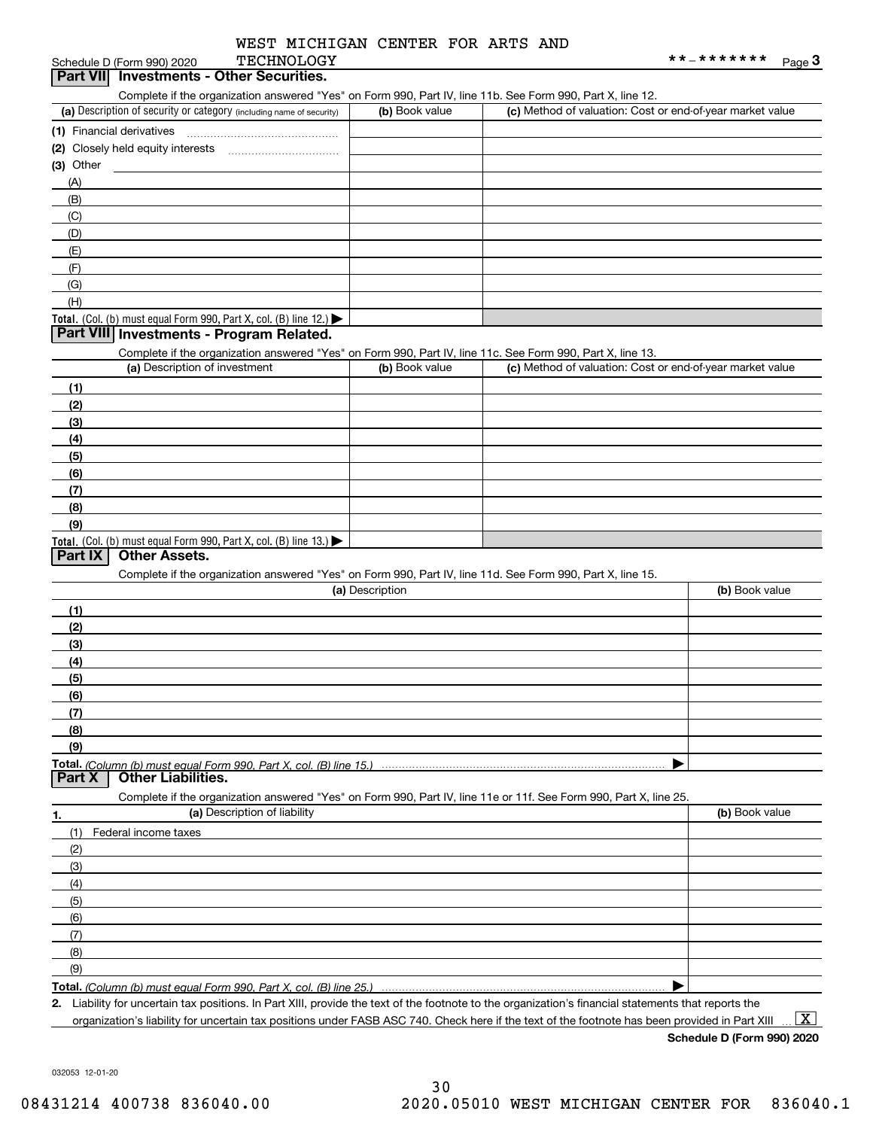| WEST MICHIGAN CENTER FOR ARTS AND |  |  |
|-----------------------------------|--|--|
| <b>TECHNOLOGY</b>                 |  |  |

# **Part VII Investments - Other Securities.**

Complete if the organization answered "Yes" on Form 990, Part IV, line 11b. See Form 990, Part X, line 12.

| (a) Description of security or category (including name of security)                   | (b) Book value | (c) Method of valuation: Cost or end-of-year market value |
|----------------------------------------------------------------------------------------|----------------|-----------------------------------------------------------|
| (1) Financial derivatives                                                              |                |                                                           |
|                                                                                        |                |                                                           |
| $(3)$ Other                                                                            |                |                                                           |
| (A)                                                                                    |                |                                                           |
| (B)                                                                                    |                |                                                           |
| (C)                                                                                    |                |                                                           |
| (D)                                                                                    |                |                                                           |
| (E)                                                                                    |                |                                                           |
| (F)                                                                                    |                |                                                           |
| (G)                                                                                    |                |                                                           |
| (H)                                                                                    |                |                                                           |
| Total. (Col. (b) must equal Form 990, Part X, col. (B) line 12.) $\blacktriangleright$ |                |                                                           |

#### **Part VIII Investments - Program Related.**

Complete if the organization answered "Yes" on Form 990, Part IV, line 11c. See Form 990, Part X, line 13.

| (a) Description of investment                                    | (b) Book value | (c) Method of valuation: Cost or end-of-year market value |
|------------------------------------------------------------------|----------------|-----------------------------------------------------------|
| (1)                                                              |                |                                                           |
| (2)                                                              |                |                                                           |
| $\frac{1}{2}$                                                    |                |                                                           |
| (4)                                                              |                |                                                           |
| $\left(5\right)$                                                 |                |                                                           |
| (6)                                                              |                |                                                           |
| (7)                                                              |                |                                                           |
| (8)                                                              |                |                                                           |
| (9)                                                              |                |                                                           |
| Total. (Col. (b) must equal Form 990, Part X, col. (B) line 13.) |                |                                                           |

#### **Part IX Other Assets.**

Complete if the organization answered "Yes" on Form 990, Part IV, line 11d. See Form 990, Part X, line 15.

| (a) Description                                                                                                   | (b) Book value |
|-------------------------------------------------------------------------------------------------------------------|----------------|
| (1)                                                                                                               |                |
| (2)                                                                                                               |                |
| (3)                                                                                                               |                |
| (4)                                                                                                               |                |
| (5)                                                                                                               |                |
| (6)                                                                                                               |                |
| (7)                                                                                                               |                |
| (8)                                                                                                               |                |
| (9)                                                                                                               |                |
|                                                                                                                   |                |
| <b>Part X   Other Liabilities.</b>                                                                                |                |
| Complete if the organization answered "Yes" on Form 990, Part IV, line 11e or 11f. See Form 990, Part X, line 25. |                |

| 1.                  | (a) Description of liability | (b) Book value |
|---------------------|------------------------------|----------------|
| (1)                 | Federal income taxes         |                |
| (2)                 |                              |                |
| $\qquad \qquad (3)$ |                              |                |
| (4)                 |                              |                |
| $\frac{1}{2}$ (5)   |                              |                |
| (6)                 |                              |                |
| (7)                 |                              |                |
| (8)                 |                              |                |
| (9)                 |                              |                |
|                     |                              |                |

**Total.**  *(Column (b) must equal Form 990, Part X, col. (B) line 25.)* 

**2.** Liability for uncertain tax positions. In Part XIII, provide the text of the footnote to the organization's financial statements that reports the organization's liability for uncertain tax positions under FASB ASC 740. Check here if the text of the footnote has been provided in Part XIII

 $\boxed{\text{X}}$ 

**Schedule D (Form 990) 2020**

032053 12-01-20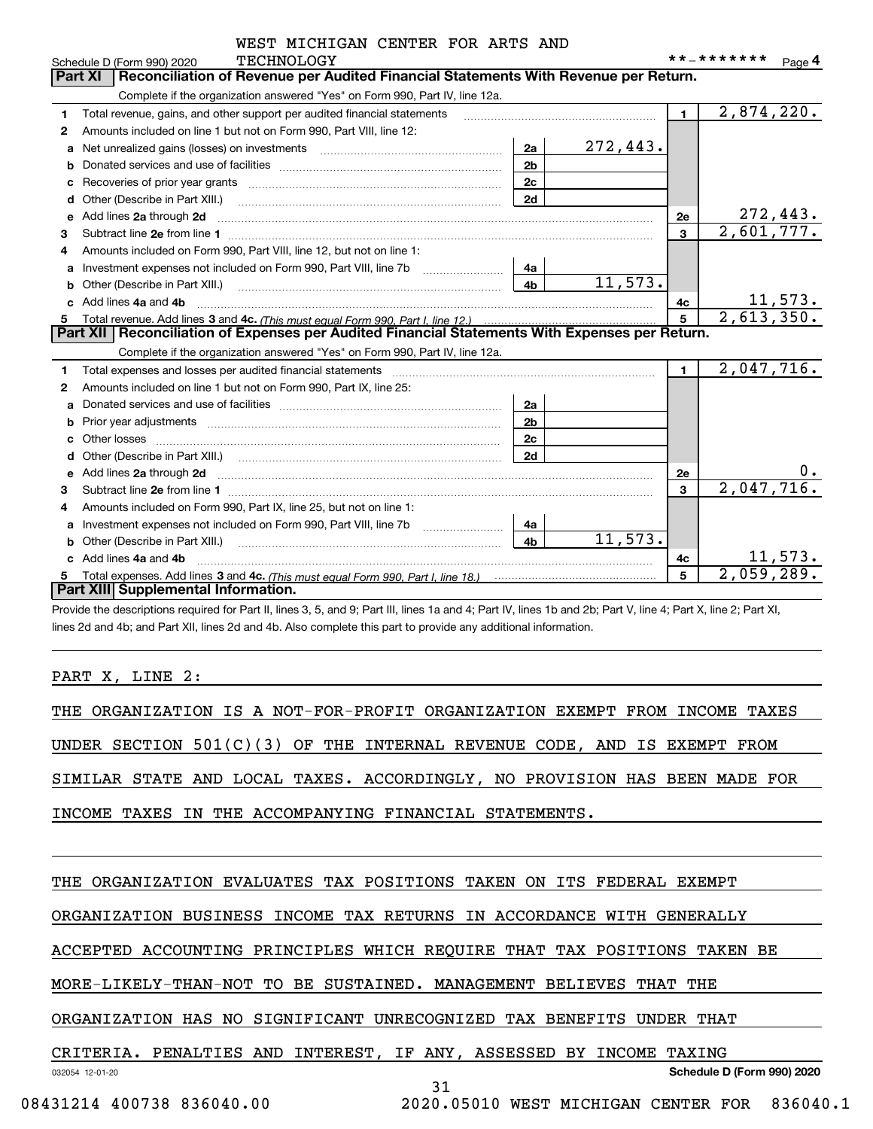|    | WEST MICHIGAN CENTER FOR ARTS AND<br><b>TECHNOLOGY</b>                                                                       |                |          |                | **_*******               |
|----|------------------------------------------------------------------------------------------------------------------------------|----------------|----------|----------------|--------------------------|
|    | Schedule D (Form 990) 2020<br>Reconciliation of Revenue per Audited Financial Statements With Revenue per Return.<br>Part XI |                |          |                | Page 4                   |
|    | Complete if the organization answered "Yes" on Form 990, Part IV, line 12a.                                                  |                |          |                |                          |
| 1  | Total revenue, gains, and other support per audited financial statements                                                     |                |          | $\blacksquare$ | 2,874,220.               |
| 2  | Amounts included on line 1 but not on Form 990, Part VIII, line 12:                                                          |                |          |                |                          |
| a  | Net unrealized gains (losses) on investments                                                                                 | 2a             | 272,443. |                |                          |
| b  |                                                                                                                              | 2 <sub>b</sub> |          |                |                          |
|    |                                                                                                                              | 2c             |          |                |                          |
|    | Other (Describe in Part XIII.) [100] [100] [100] [100] [100] [100] [100] [100] [100] [100] [100] [100] [100] [               | 2d             |          |                |                          |
| е  | Add lines 2a through 2d                                                                                                      |                |          | <b>2e</b>      | 272,443.                 |
| 3  |                                                                                                                              |                |          | $\mathbf{3}$   | 2,601,777.               |
| 4  | Amounts included on Form 990, Part VIII, line 12, but not on line 1:                                                         |                |          |                |                          |
| a  |                                                                                                                              | 4a             |          |                |                          |
| b  |                                                                                                                              | 4 <sub>h</sub> | 11,573.  |                |                          |
|    | Add lines 4a and 4b                                                                                                          |                |          | 4c             | <u> 11,573.</u>          |
| 5. |                                                                                                                              |                |          | 5              | $\overline{2,613,350.}$  |
|    | Part XII   Reconciliation of Expenses per Audited Financial Statements With Expenses per Return.                             |                |          |                |                          |
|    | Complete if the organization answered "Yes" on Form 990, Part IV, line 12a.                                                  |                |          |                |                          |
| 1  |                                                                                                                              |                |          | $\blacksquare$ | $\overline{2,047,716}$ . |
| 2  | Amounts included on line 1 but not on Form 990, Part IX, line 25:                                                            |                |          |                |                          |
| a  |                                                                                                                              | 2a             |          |                |                          |
|    | Prior year adjustments <i>www.www.www.www.www.www.www.www.www.</i> ww.                                                       | 2 <sub>b</sub> |          |                |                          |
|    | Other losses                                                                                                                 | 2c             |          |                |                          |
| d  |                                                                                                                              | 2d             |          |                |                          |
| е  | Add lines 2a through 2d                                                                                                      |                |          | 2e             | 0.                       |
| 3  |                                                                                                                              |                |          | 3              | $\overline{2,047,716}$ . |
| 4  | Amounts included on Form 990, Part IX, line 25, but not on line 1:                                                           |                |          |                |                          |
| a  | Investment expenses not included on Form 990, Part VIII, line 7b                                                             | 4a             |          |                |                          |
|    |                                                                                                                              | 4 <sub>h</sub> | 11,573.  |                |                          |
|    | Add lines 4a and 4b                                                                                                          |                |          | 4c             | 11,573.                  |
| 5  |                                                                                                                              |                |          | 5              | 2,059,289.               |
|    | Part XIII Supplemental Information.                                                                                          |                |          |                |                          |

Provide the descriptions required for Part II, lines 3, 5, and 9; Part III, lines 1a and 4; Part IV, lines 1b and 2b; Part V, line 4; Part X, line 2; Part XI, lines 2d and 4b; and Part XII, lines 2d and 4b. Also complete this part to provide any additional information.

#### PART X, LINE 2:

|  |  |  | THE ORGANIZATION IS A NOT-FOR-PROFIT ORGANIZATION EXEMPT FROM INCOME TAXES |  |  |  |  |
|--|--|--|----------------------------------------------------------------------------|--|--|--|--|
|  |  |  |                                                                            |  |  |  |  |
|  |  |  | UNDER SECTION $501(C)(3)$ OF THE INTERNAL REVENUE CODE, AND IS EXEMPT FROM |  |  |  |  |
|  |  |  | SIMILAR STATE AND LOCAL TAXES. ACCORDINGLY, NO PROVISION HAS BEEN MADE FOR |  |  |  |  |
|  |  |  | INCOME TAXES IN THE ACCOMPANYING FINANCIAL STATEMENTS.                     |  |  |  |  |

THE ORGANIZATION EVALUATES TAX POSITIONS TAKEN ON ITS FEDERAL EXEMPT

ORGANIZATION BUSINESS INCOME TAX RETURNS IN ACCORDANCE WITH GENERALLY

ACCEPTED ACCOUNTING PRINCIPLES WHICH REQUIRE THAT TAX POSITIONS TAKEN BE

31

MORE-LIKELY-THAN-NOT TO BE SUSTAINED. MANAGEMENT BELIEVES THAT THE

ORGANIZATION HAS NO SIGNIFICANT UNRECOGNIZED TAX BENEFITS UNDER THAT

#### CRITERIA. PENALTIES AND INTEREST, IF ANY, ASSESSED BY INCOME TAXING

032054 12-01-20

**Schedule D (Form 990) 2020**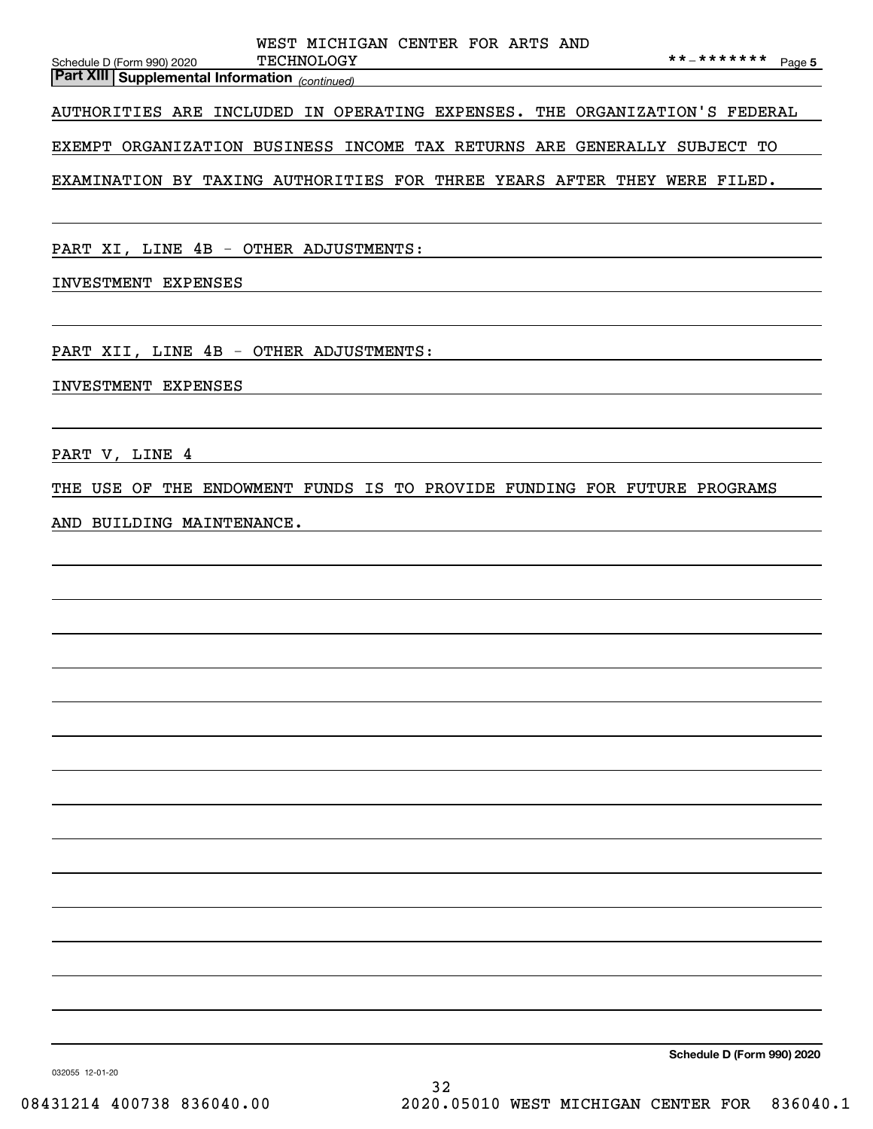|                                                       | WEST MICHIGAN CENTER FOR ARTS AND |  |  |                   |  |
|-------------------------------------------------------|-----------------------------------|--|--|-------------------|--|
| Schedule D (Form 990) 2020                            | TECHNOLOGY                        |  |  | **_******* Page 5 |  |
| <b>Part XIII Supplemental Information</b> (continued) |                                   |  |  |                   |  |
|                                                       |                                   |  |  |                   |  |

AUTHORITIES ARE INCLUDED IN OPERATING EXPENSES. THE ORGANIZATION'S FEDERAL

EXEMPT ORGANIZATION BUSINESS INCOME TAX RETURNS ARE GENERALLY SUBJECT TO

EXAMINATION BY TAXING AUTHORITIES FOR THREE YEARS AFTER THEY WERE FILED.

PART XI, LINE 4B - OTHER ADJUSTMENTS:

INVESTMENT EXPENSES

PART XII, LINE 4B - OTHER ADJUSTMENTS:

INVESTMENT EXPENSES

PART V, LINE 4

THE USE OF THE ENDOWMENT FUNDS IS TO PROVIDE FUNDING FOR FUTURE PROGRAMS

AND BUILDING MAINTENANCE.

**Schedule D (Form 990) 2020**

032055 12-01-20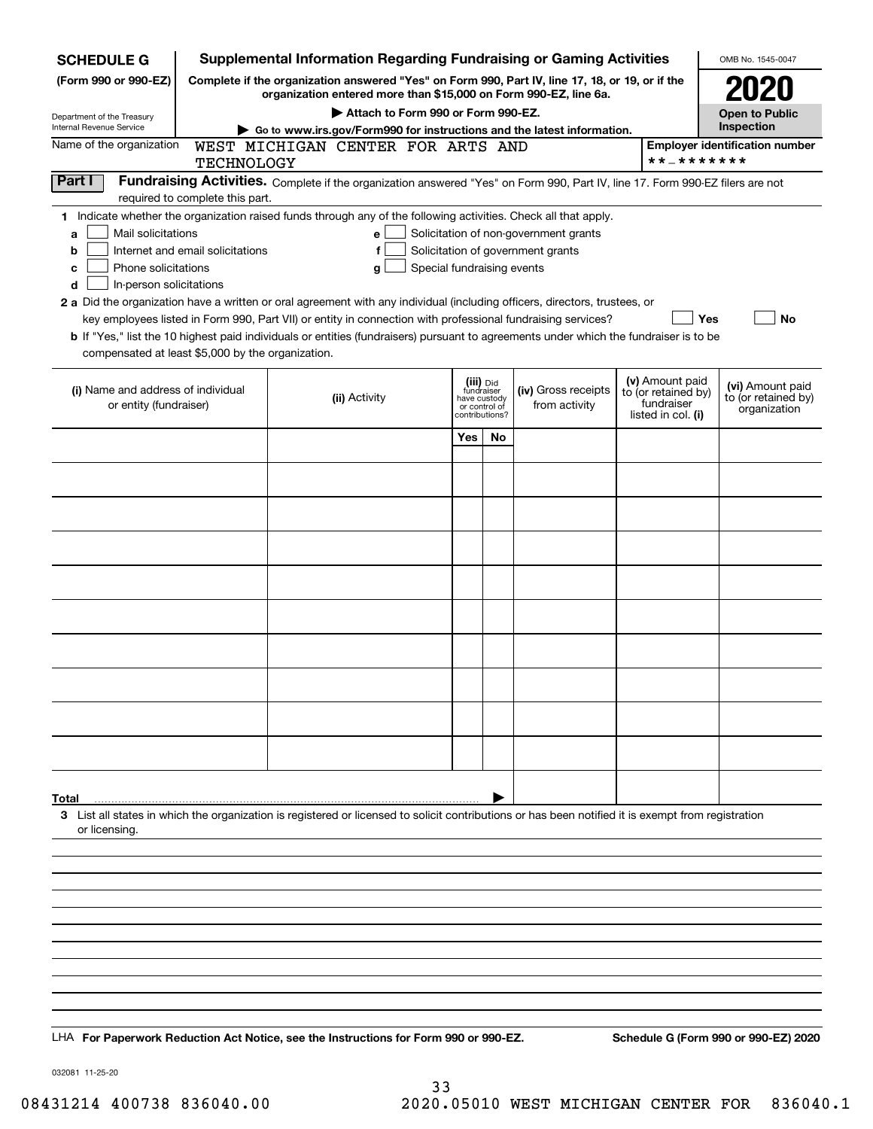| <b>SCHEDULE G</b>                                                                                                                             |                                                                                                                                                                     |  | <b>Supplemental Information Regarding Fundraising or Gaming Activities</b>                                                                                                                                                                                                                                                                                                                                                                                                                                                                                |                                                           |               |                                                                            |  |                                                                            | OMB No. 1545-0047                                       |  |
|-----------------------------------------------------------------------------------------------------------------------------------------------|---------------------------------------------------------------------------------------------------------------------------------------------------------------------|--|-----------------------------------------------------------------------------------------------------------------------------------------------------------------------------------------------------------------------------------------------------------------------------------------------------------------------------------------------------------------------------------------------------------------------------------------------------------------------------------------------------------------------------------------------------------|-----------------------------------------------------------|---------------|----------------------------------------------------------------------------|--|----------------------------------------------------------------------------|---------------------------------------------------------|--|
| (Form 990 or 990-EZ)                                                                                                                          | Complete if the organization answered "Yes" on Form 990, Part IV, line 17, 18, or 19, or if the<br>organization entered more than \$15,000 on Form 990-EZ, line 6a. |  |                                                                                                                                                                                                                                                                                                                                                                                                                                                                                                                                                           |                                                           |               |                                                                            |  |                                                                            |                                                         |  |
| Department of the Treasury                                                                                                                    | Attach to Form 990 or Form 990-EZ.<br><b>Open to Public</b>                                                                                                         |  |                                                                                                                                                                                                                                                                                                                                                                                                                                                                                                                                                           |                                                           |               |                                                                            |  |                                                                            |                                                         |  |
| Internal Revenue Service<br>Name of the organization                                                                                          |                                                                                                                                                                     |  | Go to www.irs.gov/Form990 for instructions and the latest information.                                                                                                                                                                                                                                                                                                                                                                                                                                                                                    |                                                           |               |                                                                            |  |                                                                            | Inspection                                              |  |
|                                                                                                                                               | <b>TECHNOLOGY</b>                                                                                                                                                   |  | WEST MICHIGAN CENTER FOR ARTS AND                                                                                                                                                                                                                                                                                                                                                                                                                                                                                                                         |                                                           |               |                                                                            |  | **_*******                                                                 | <b>Employer identification number</b>                   |  |
| Part I                                                                                                                                        | required to complete this part.                                                                                                                                     |  | Fundraising Activities. Complete if the organization answered "Yes" on Form 990, Part IV, line 17. Form 990-EZ filers are not                                                                                                                                                                                                                                                                                                                                                                                                                             |                                                           |               |                                                                            |  |                                                                            |                                                         |  |
| Mail solicitations<br>a<br>b<br>Phone solicitations<br>с<br>In-person solicitations<br>d<br>compensated at least \$5,000 by the organization. | Internet and email solicitations                                                                                                                                    |  | 1 Indicate whether the organization raised funds through any of the following activities. Check all that apply.<br>е<br>f<br>Special fundraising events<br>g<br>2 a Did the organization have a written or oral agreement with any individual (including officers, directors, trustees, or<br>key employees listed in Form 990, Part VII) or entity in connection with professional fundraising services?<br><b>b</b> If "Yes," list the 10 highest paid individuals or entities (fundraisers) pursuant to agreements under which the fundraiser is to be |                                                           |               | Solicitation of non-government grants<br>Solicitation of government grants |  | Yes                                                                        | No                                                      |  |
| (i) Name and address of individual<br>or entity (fundraiser)                                                                                  |                                                                                                                                                                     |  | (ii) Activity                                                                                                                                                                                                                                                                                                                                                                                                                                                                                                                                             | (iii) Did<br>fundraiser<br>have custody<br>contributions? | or control of | (iv) Gross receipts<br>from activity                                       |  | (v) Amount paid<br>to (or retained by)<br>fundraiser<br>listed in col. (i) | (vi) Amount paid<br>to (or retained by)<br>organization |  |
|                                                                                                                                               |                                                                                                                                                                     |  |                                                                                                                                                                                                                                                                                                                                                                                                                                                                                                                                                           | Yes                                                       | No            |                                                                            |  |                                                                            |                                                         |  |
|                                                                                                                                               |                                                                                                                                                                     |  |                                                                                                                                                                                                                                                                                                                                                                                                                                                                                                                                                           |                                                           |               |                                                                            |  |                                                                            |                                                         |  |
|                                                                                                                                               |                                                                                                                                                                     |  |                                                                                                                                                                                                                                                                                                                                                                                                                                                                                                                                                           |                                                           |               |                                                                            |  |                                                                            |                                                         |  |
|                                                                                                                                               |                                                                                                                                                                     |  |                                                                                                                                                                                                                                                                                                                                                                                                                                                                                                                                                           |                                                           |               |                                                                            |  |                                                                            |                                                         |  |
|                                                                                                                                               |                                                                                                                                                                     |  |                                                                                                                                                                                                                                                                                                                                                                                                                                                                                                                                                           |                                                           |               |                                                                            |  |                                                                            |                                                         |  |
|                                                                                                                                               |                                                                                                                                                                     |  |                                                                                                                                                                                                                                                                                                                                                                                                                                                                                                                                                           |                                                           |               |                                                                            |  |                                                                            |                                                         |  |
|                                                                                                                                               |                                                                                                                                                                     |  |                                                                                                                                                                                                                                                                                                                                                                                                                                                                                                                                                           |                                                           |               |                                                                            |  |                                                                            |                                                         |  |
|                                                                                                                                               |                                                                                                                                                                     |  |                                                                                                                                                                                                                                                                                                                                                                                                                                                                                                                                                           |                                                           |               |                                                                            |  |                                                                            |                                                         |  |
|                                                                                                                                               |                                                                                                                                                                     |  |                                                                                                                                                                                                                                                                                                                                                                                                                                                                                                                                                           |                                                           |               |                                                                            |  |                                                                            |                                                         |  |
|                                                                                                                                               |                                                                                                                                                                     |  |                                                                                                                                                                                                                                                                                                                                                                                                                                                                                                                                                           |                                                           |               |                                                                            |  |                                                                            |                                                         |  |
|                                                                                                                                               |                                                                                                                                                                     |  |                                                                                                                                                                                                                                                                                                                                                                                                                                                                                                                                                           |                                                           |               |                                                                            |  |                                                                            |                                                         |  |
|                                                                                                                                               |                                                                                                                                                                     |  |                                                                                                                                                                                                                                                                                                                                                                                                                                                                                                                                                           |                                                           |               |                                                                            |  |                                                                            |                                                         |  |
|                                                                                                                                               |                                                                                                                                                                     |  |                                                                                                                                                                                                                                                                                                                                                                                                                                                                                                                                                           |                                                           |               |                                                                            |  |                                                                            |                                                         |  |
| Total<br>or licensing.                                                                                                                        |                                                                                                                                                                     |  | 3 List all states in which the organization is registered or licensed to solicit contributions or has been notified it is exempt from registration                                                                                                                                                                                                                                                                                                                                                                                                        |                                                           |               |                                                                            |  |                                                                            |                                                         |  |
|                                                                                                                                               |                                                                                                                                                                     |  |                                                                                                                                                                                                                                                                                                                                                                                                                                                                                                                                                           |                                                           |               |                                                                            |  |                                                                            |                                                         |  |
|                                                                                                                                               |                                                                                                                                                                     |  |                                                                                                                                                                                                                                                                                                                                                                                                                                                                                                                                                           |                                                           |               |                                                                            |  |                                                                            |                                                         |  |
|                                                                                                                                               |                                                                                                                                                                     |  |                                                                                                                                                                                                                                                                                                                                                                                                                                                                                                                                                           |                                                           |               |                                                                            |  |                                                                            |                                                         |  |
|                                                                                                                                               |                                                                                                                                                                     |  |                                                                                                                                                                                                                                                                                                                                                                                                                                                                                                                                                           |                                                           |               |                                                                            |  |                                                                            |                                                         |  |
|                                                                                                                                               |                                                                                                                                                                     |  |                                                                                                                                                                                                                                                                                                                                                                                                                                                                                                                                                           |                                                           |               |                                                                            |  |                                                                            |                                                         |  |
|                                                                                                                                               |                                                                                                                                                                     |  |                                                                                                                                                                                                                                                                                                                                                                                                                                                                                                                                                           |                                                           |               |                                                                            |  |                                                                            |                                                         |  |
|                                                                                                                                               |                                                                                                                                                                     |  |                                                                                                                                                                                                                                                                                                                                                                                                                                                                                                                                                           |                                                           |               |                                                                            |  |                                                                            |                                                         |  |
| LHA For Paperwork Reduction Act Notice, see the Instructions for Form 990 or 990-EZ.                                                          |                                                                                                                                                                     |  |                                                                                                                                                                                                                                                                                                                                                                                                                                                                                                                                                           |                                                           |               |                                                                            |  |                                                                            | Schedule G (Form 990 or 990-EZ) 2020                    |  |

032081 11-25-20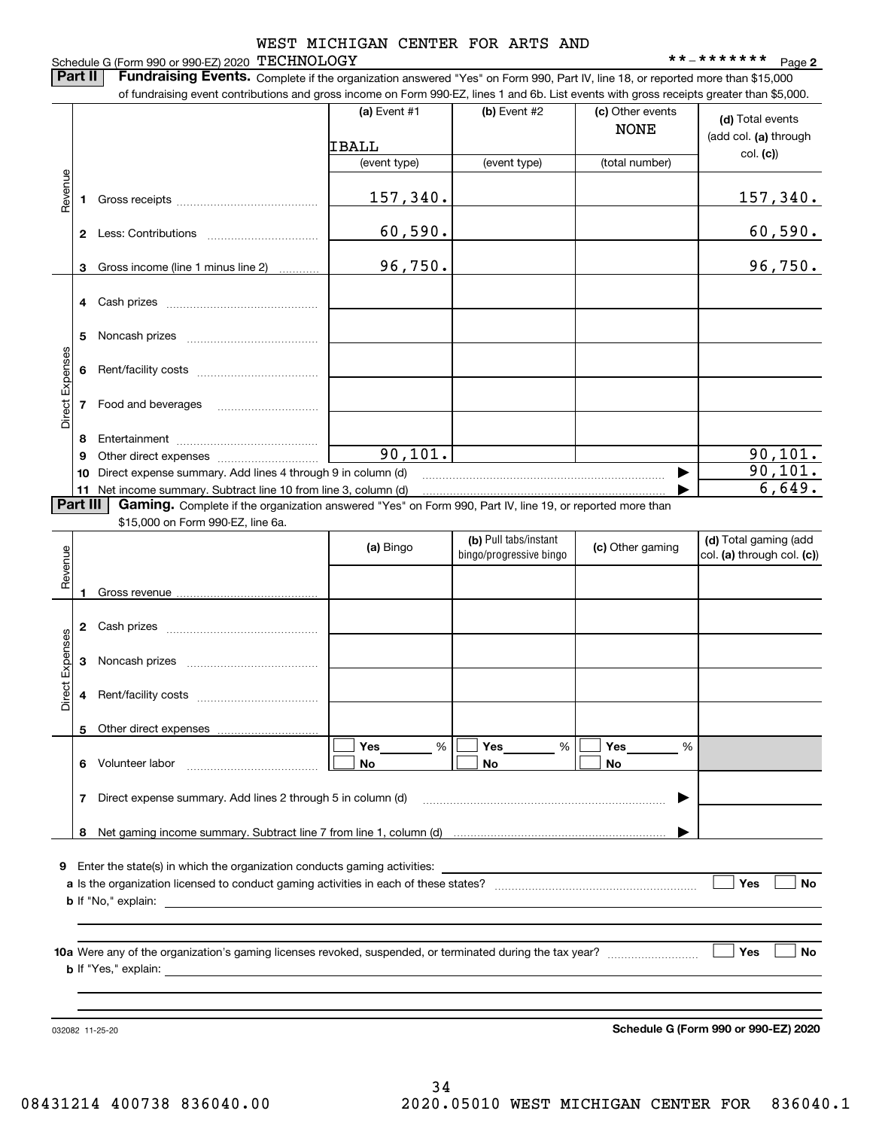#### Schedule G (Form 990 or 990-EZ) 2020 Page TECHNOLOGY \*\*-\*\*\*\*\*\*\* WEST MICHIGAN CENTER FOR ARTS AND

**Part II** | Fundraising Events. Complete if the organization answered "Yes" on Form 990, Part IV, line 18, or reported more than \$15,000

|                 |          | of fundraising event contributions and gross income on Form 990-EZ, lines 1 and 6b. List events with gross receipts greater than \$5,000. |                |                                                  |                                 |                                                     |
|-----------------|----------|-------------------------------------------------------------------------------------------------------------------------------------------|----------------|--------------------------------------------------|---------------------------------|-----------------------------------------------------|
|                 |          |                                                                                                                                           | (a) Event $#1$ | $(b)$ Event #2                                   | (c) Other events<br><b>NONE</b> | (d) Total events<br>(add col. (a) through           |
|                 |          |                                                                                                                                           | IBALL          |                                                  |                                 | col. (c)                                            |
|                 |          |                                                                                                                                           | (event type)   | (event type)                                     | (total number)                  |                                                     |
| Revenue         | 1.       |                                                                                                                                           | 157,340.       |                                                  |                                 | 157,340.                                            |
|                 |          |                                                                                                                                           | 60,590.        |                                                  |                                 | 60,590.                                             |
|                 | 3        | Gross income (line 1 minus line 2)                                                                                                        | 96,750.        |                                                  |                                 | 96,750.                                             |
|                 |          |                                                                                                                                           |                |                                                  |                                 |                                                     |
|                 | 4        |                                                                                                                                           |                |                                                  |                                 |                                                     |
|                 | 5        |                                                                                                                                           |                |                                                  |                                 |                                                     |
| Direct Expenses | 6        |                                                                                                                                           |                |                                                  |                                 |                                                     |
|                 | 7        | Food and beverages                                                                                                                        |                |                                                  |                                 |                                                     |
|                 | 8        |                                                                                                                                           |                |                                                  |                                 |                                                     |
|                 | 9        |                                                                                                                                           | 90, 101.       |                                                  |                                 | 90, 101.                                            |
|                 | 10       | Direct expense summary. Add lines 4 through 9 in column (d)                                                                               |                |                                                  |                                 | 90, 101.                                            |
|                 |          | 11 Net income summary. Subtract line 10 from line 3, column (d)                                                                           |                |                                                  |                                 | 6,649.                                              |
|                 | Part III | Gaming. Complete if the organization answered "Yes" on Form 990, Part IV, line 19, or reported more than                                  |                |                                                  |                                 |                                                     |
|                 |          | \$15,000 on Form 990-EZ, line 6a.                                                                                                         |                |                                                  |                                 |                                                     |
|                 |          |                                                                                                                                           | (a) Bingo      | (b) Pull tabs/instant<br>bingo/progressive bingo | (c) Other gaming                | (d) Total gaming (add<br>col. (a) through col. (c)) |
| Revenue         |          |                                                                                                                                           |                |                                                  |                                 |                                                     |
|                 | 1        |                                                                                                                                           |                |                                                  |                                 |                                                     |
|                 | 2        |                                                                                                                                           |                |                                                  |                                 |                                                     |
| Expenses        | З        |                                                                                                                                           |                |                                                  |                                 |                                                     |
| <b>Direct</b>   | 4        |                                                                                                                                           |                |                                                  |                                 |                                                     |
|                 |          | 5 Other direct expenses                                                                                                                   |                |                                                  |                                 |                                                     |
|                 |          |                                                                                                                                           | %<br>Yes       | Yes<br>%                                         | Yes<br>%                        |                                                     |
|                 | 6.       | Volunteer labor                                                                                                                           | No             | No                                               | No                              |                                                     |
|                 | 7        | Direct expense summary. Add lines 2 through 5 in column (d)                                                                               |                |                                                  | ▶                               |                                                     |
|                 | 8        |                                                                                                                                           |                |                                                  |                                 |                                                     |
|                 |          |                                                                                                                                           |                |                                                  |                                 |                                                     |
| 9               |          |                                                                                                                                           |                |                                                  |                                 |                                                     |
|                 |          |                                                                                                                                           |                |                                                  |                                 | Yes<br>No                                           |
|                 |          |                                                                                                                                           |                |                                                  |                                 |                                                     |
|                 |          |                                                                                                                                           |                |                                                  |                                 |                                                     |
|                 |          |                                                                                                                                           |                |                                                  |                                 | Yes<br>No                                           |
|                 |          |                                                                                                                                           |                |                                                  |                                 |                                                     |
|                 |          |                                                                                                                                           |                |                                                  |                                 |                                                     |
|                 |          |                                                                                                                                           |                |                                                  |                                 |                                                     |
|                 |          | 032082 11-25-20                                                                                                                           |                |                                                  |                                 | Schedule G (Form 990 or 990-EZ) 2020                |
|                 |          |                                                                                                                                           |                |                                                  |                                 |                                                     |

**Schedule G (Form 990 or 990-EZ) 2020**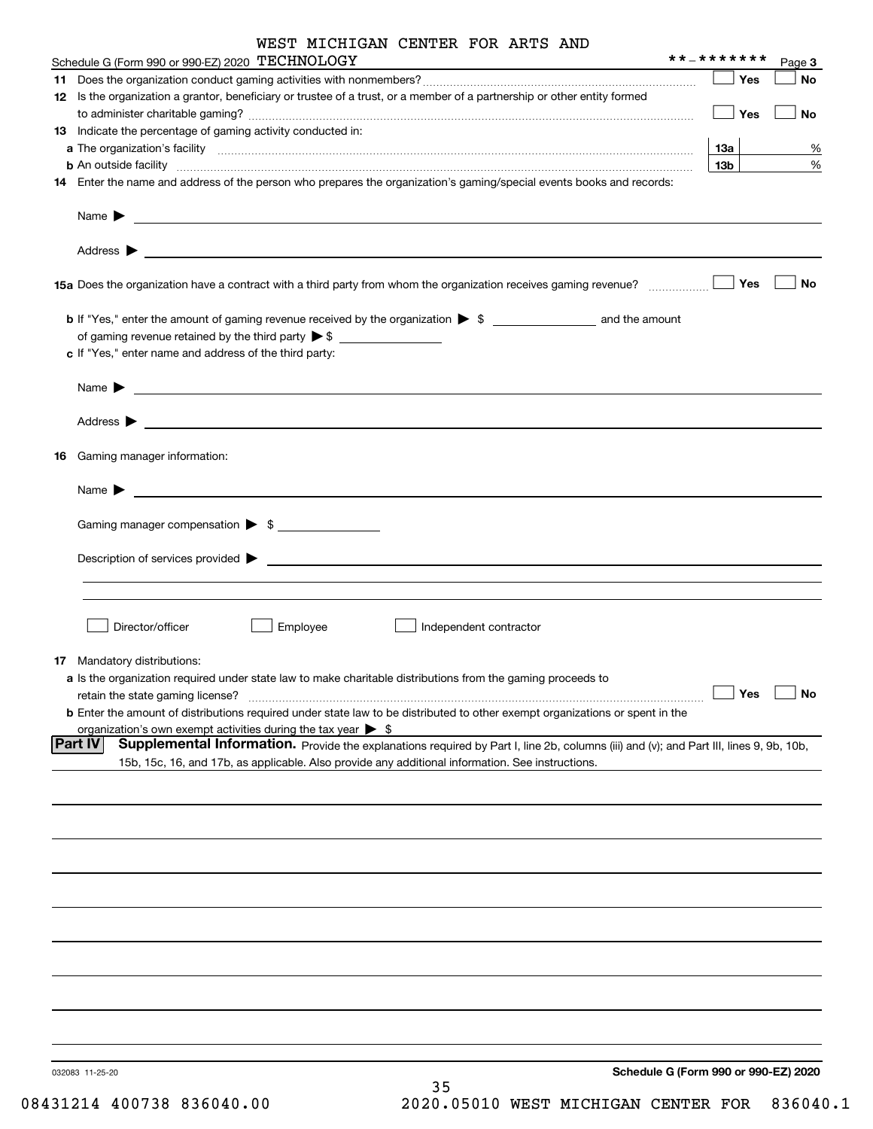|    | WEST MICHIGAN CENTER FOR ARTS AND                                                                                                                                                                                                        | **_*******      |            |           |
|----|------------------------------------------------------------------------------------------------------------------------------------------------------------------------------------------------------------------------------------------|-----------------|------------|-----------|
|    | Schedule G (Form 990 or 990-EZ) 2020 TECHNOLOGY                                                                                                                                                                                          |                 |            | Page 3    |
|    |                                                                                                                                                                                                                                          |                 | <b>Yes</b> | No        |
|    | 12 Is the organization a grantor, beneficiary or trustee of a trust, or a member of a partnership or other entity formed                                                                                                                 |                 | Yes        | No        |
|    | 13 Indicate the percentage of gaming activity conducted in:                                                                                                                                                                              |                 |            |           |
|    |                                                                                                                                                                                                                                          | 13а             |            | %         |
|    | <b>b</b> An outside facility <i>www.communicality www.communicality.communicality www.communicality www.communicality.communicality www.communicality.com</i>                                                                            | 13 <sub>b</sub> |            | %         |
| 14 | Enter the name and address of the person who prepares the organization's gaming/special events books and records:                                                                                                                        |                 |            |           |
|    | Name $\blacktriangleright$<br>and the control of the control of the control of the control of the control of the control of the control of the                                                                                           |                 |            |           |
|    | Address $\blacktriangleright$                                                                                                                                                                                                            |                 |            |           |
|    | 15a Does the organization have a contract with a third party from whom the organization receives gaming revenue?                                                                                                                         |                 | Yes        | No        |
|    |                                                                                                                                                                                                                                          |                 |            |           |
|    | of gaming revenue retained by the third party $\triangleright$ \$                                                                                                                                                                        |                 |            |           |
|    | c If "Yes," enter name and address of the third party:                                                                                                                                                                                   |                 |            |           |
|    |                                                                                                                                                                                                                                          |                 |            |           |
|    | Name $\blacktriangleright$                                                                                                                                                                                                               |                 |            |           |
|    | Address $\blacktriangleright$<br><u> 1990 - John Barn Barn, amerikan bahasa di sebagai bagian dan bagian dan bagian dalam bagian dalam bagian dala</u>                                                                                   |                 |            |           |
|    |                                                                                                                                                                                                                                          |                 |            |           |
| 16 | Gaming manager information:                                                                                                                                                                                                              |                 |            |           |
|    | $Name \rightarrow$                                                                                                                                                                                                                       |                 |            |           |
|    |                                                                                                                                                                                                                                          |                 |            |           |
|    | Gaming manager compensation > \$                                                                                                                                                                                                         |                 |            |           |
|    | $Description of services provided$ $\triangleright$                                                                                                                                                                                      |                 |            |           |
|    |                                                                                                                                                                                                                                          |                 |            |           |
|    |                                                                                                                                                                                                                                          |                 |            |           |
|    |                                                                                                                                                                                                                                          |                 |            |           |
|    | Director/officer<br>Employee<br>Independent contractor                                                                                                                                                                                   |                 |            |           |
|    |                                                                                                                                                                                                                                          |                 |            |           |
|    | <b>17</b> Mandatory distributions:                                                                                                                                                                                                       |                 |            |           |
|    | a Is the organization required under state law to make charitable distributions from the gaming proceeds to                                                                                                                              |                 |            |           |
|    | retain the state gaming license?                                                                                                                                                                                                         |                 | Yes        | <b>No</b> |
|    | b Enter the amount of distributions required under state law to be distributed to other exempt organizations or spent in the                                                                                                             |                 |            |           |
|    | organization's own exempt activities during the tax year $\triangleright$ \$<br>Supplemental Information. Provide the explanations required by Part I, line 2b, columns (iii) and (v); and Part III, lines 9, 9b, 10b,<br><b>Part IV</b> |                 |            |           |
|    | 15b, 15c, 16, and 17b, as applicable. Also provide any additional information. See instructions.                                                                                                                                         |                 |            |           |
|    |                                                                                                                                                                                                                                          |                 |            |           |
|    |                                                                                                                                                                                                                                          |                 |            |           |
|    |                                                                                                                                                                                                                                          |                 |            |           |
|    |                                                                                                                                                                                                                                          |                 |            |           |
|    |                                                                                                                                                                                                                                          |                 |            |           |
|    |                                                                                                                                                                                                                                          |                 |            |           |
|    |                                                                                                                                                                                                                                          |                 |            |           |
|    |                                                                                                                                                                                                                                          |                 |            |           |
|    |                                                                                                                                                                                                                                          |                 |            |           |
|    |                                                                                                                                                                                                                                          |                 |            |           |

032083 11-25-20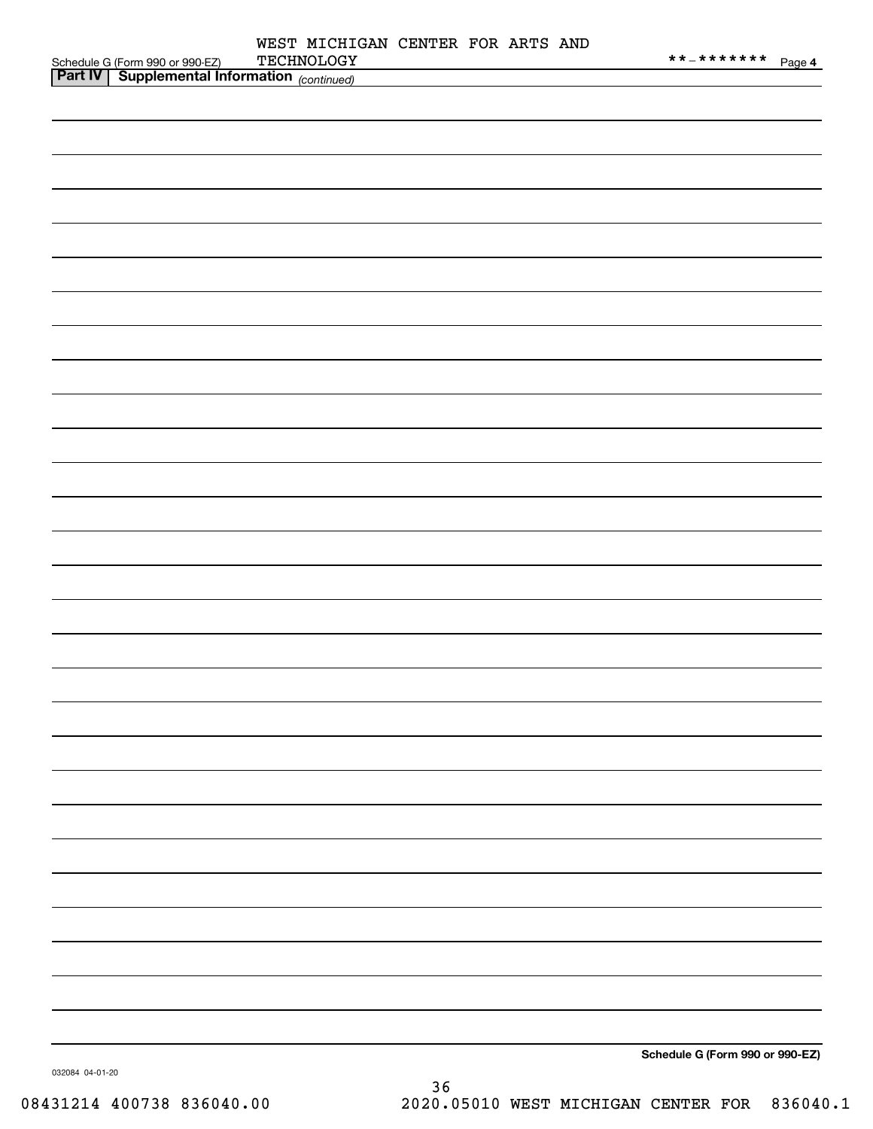|  | WEST MICHIGAN CENTER FOR ARTS AND<br>TECHNOLOGY                                                   |  | **_******* Page 4               |
|--|---------------------------------------------------------------------------------------------------|--|---------------------------------|
|  | Schedule G (Form 990 or 990-EZ) TECHNOLOGY<br><b>Part IV</b> Supplemental Information (continued) |  |                                 |
|  |                                                                                                   |  |                                 |
|  |                                                                                                   |  |                                 |
|  |                                                                                                   |  |                                 |
|  |                                                                                                   |  |                                 |
|  |                                                                                                   |  |                                 |
|  |                                                                                                   |  |                                 |
|  |                                                                                                   |  |                                 |
|  |                                                                                                   |  |                                 |
|  |                                                                                                   |  |                                 |
|  |                                                                                                   |  |                                 |
|  |                                                                                                   |  |                                 |
|  |                                                                                                   |  |                                 |
|  |                                                                                                   |  |                                 |
|  |                                                                                                   |  |                                 |
|  |                                                                                                   |  |                                 |
|  |                                                                                                   |  |                                 |
|  |                                                                                                   |  |                                 |
|  |                                                                                                   |  |                                 |
|  |                                                                                                   |  |                                 |
|  |                                                                                                   |  |                                 |
|  |                                                                                                   |  |                                 |
|  |                                                                                                   |  |                                 |
|  |                                                                                                   |  |                                 |
|  |                                                                                                   |  |                                 |
|  |                                                                                                   |  |                                 |
|  |                                                                                                   |  |                                 |
|  |                                                                                                   |  |                                 |
|  |                                                                                                   |  |                                 |
|  |                                                                                                   |  |                                 |
|  |                                                                                                   |  |                                 |
|  |                                                                                                   |  |                                 |
|  |                                                                                                   |  |                                 |
|  |                                                                                                   |  |                                 |
|  |                                                                                                   |  |                                 |
|  |                                                                                                   |  |                                 |
|  |                                                                                                   |  |                                 |
|  |                                                                                                   |  |                                 |
|  |                                                                                                   |  |                                 |
|  |                                                                                                   |  |                                 |
|  |                                                                                                   |  |                                 |
|  |                                                                                                   |  |                                 |
|  |                                                                                                   |  |                                 |
|  |                                                                                                   |  |                                 |
|  |                                                                                                   |  |                                 |
|  |                                                                                                   |  |                                 |
|  |                                                                                                   |  | Schedule G (Form 990 or 990-EZ) |
|  |                                                                                                   |  |                                 |